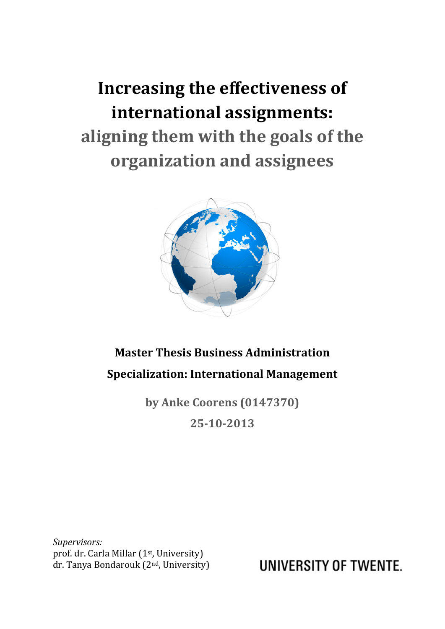**Increasing the effectiveness of international assignments: aligning them with the goals of the organization and assignees**



### **Master Thesis Business Administration Specialization: International Management**

**by Anke Coorens (0147370) 25-10-2013**

*Supervisors:* prof. dr. Carla Millar (1st, University) dr. Tanya Bondarouk (2nd, University)

UNIVERSITY OF TWENTE.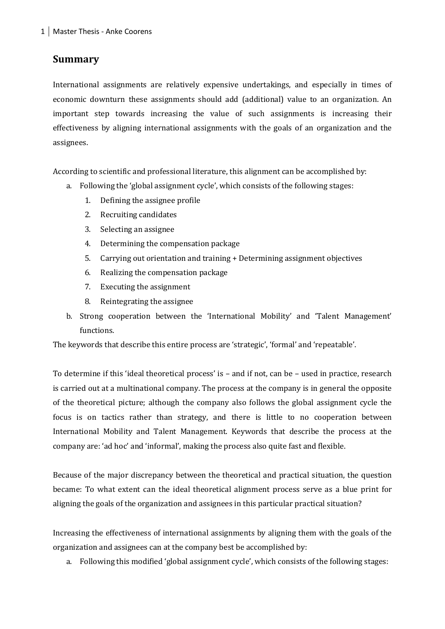#### **Summary**

International assignments are relatively expensive undertakings, and especially in times of economic downturn these assignments should add (additional) value to an organization. An important step towards increasing the value of such assignments is increasing their effectiveness by aligning international assignments with the goals of an organization and the assignees.

According to scientific and professional literature, this alignment can be accomplished by:

- a. Following the 'global assignment cycle', which consists of the following stages:
	- 1. Defining the assignee profile
	- 2. Recruiting candidates
	- 3. Selecting an assignee
	- 4. Determining the compensation package
	- 5. Carrying out orientation and training + Determining assignment objectives
	- 6. Realizing the compensation package
	- 7. Executing the assignment
	- 8. Reintegrating the assignee
- b. Strong cooperation between the 'International Mobility' and 'Talent Management' functions.

The keywords that describe this entire process are 'strategic', 'formal' and 'repeatable'.

To determine if this 'ideal theoretical process' is – and if not, can be – used in practice, research is carried out at a multinational company. The process at the company is in general the opposite of the theoretical picture; although the company also follows the global assignment cycle the focus is on tactics rather than strategy, and there is little to no cooperation between International Mobility and Talent Management. Keywords that describe the process at the company are: 'ad hoc' and 'informal', making the process also quite fast and flexible.

Because of the major discrepancy between the theoretical and practical situation, the question became: To what extent can the ideal theoretical alignment process serve as a blue print for aligning the goals of the organization and assignees in this particular practical situation?

Increasing the effectiveness of international assignments by aligning them with the goals of the organization and assignees can at the company best be accomplished by:

a. Following this modified 'global assignment cycle', which consists of the following stages: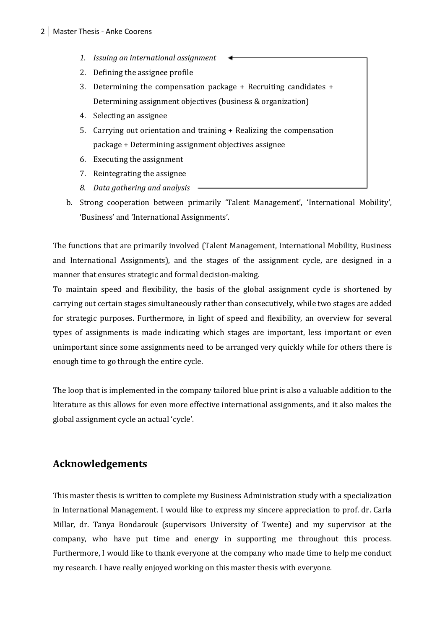- *1. Issuing an international assignment*
- 2. Defining the assignee profile
- 3. Determining the compensation package + Recruiting candidates + Determining assignment objectives (business & organization)
- 4. Selecting an assignee
- 5. Carrying out orientation and training + Realizing the compensation package + Determining assignment objectives assignee
- 6. Executing the assignment
- 7. Reintegrating the assignee
- *8. Data gathering and analysis*
- b. Strong cooperation between primarily 'Talent Management', 'International Mobility', 'Business' and 'International Assignments'.

The functions that are primarily involved (Talent Management, International Mobility, Business and International Assignments), and the stages of the assignment cycle, are designed in a manner that ensures strategic and formal decision-making.

To maintain speed and flexibility, the basis of the global assignment cycle is shortened by carrying out certain stages simultaneously rather than consecutively, while two stages are added for strategic purposes. Furthermore, in light of speed and flexibility, an overview for several types of assignments is made indicating which stages are important, less important or even unimportant since some assignments need to be arranged very quickly while for others there is enough time to go through the entire cycle.

The loop that is implemented in the company tailored blue print is also a valuable addition to the literature as this allows for even more effective international assignments, and it also makes the global assignment cycle an actual 'cycle'.

#### **Acknowledgements**

This master thesis is written to complete my Business Administration study with a specialization in International Management. I would like to express my sincere appreciation to prof. dr. Carla Millar, dr. Tanya Bondarouk (supervisors University of Twente) and my supervisor at the company, who have put time and energy in supporting me throughout this process. Furthermore, I would like to thank everyone at the company who made time to help me conduct my research. I have really enjoyed working on this master thesis with everyone.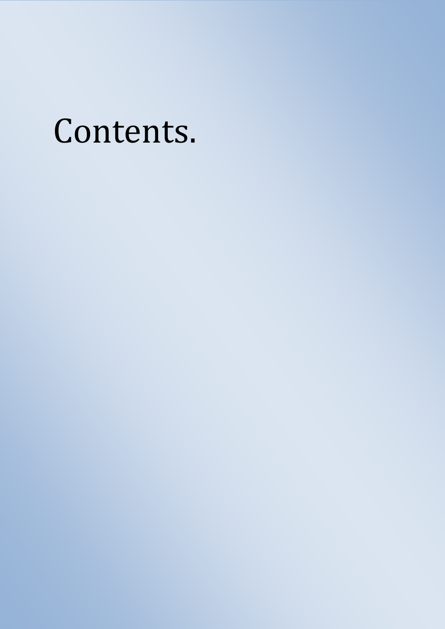## Contents.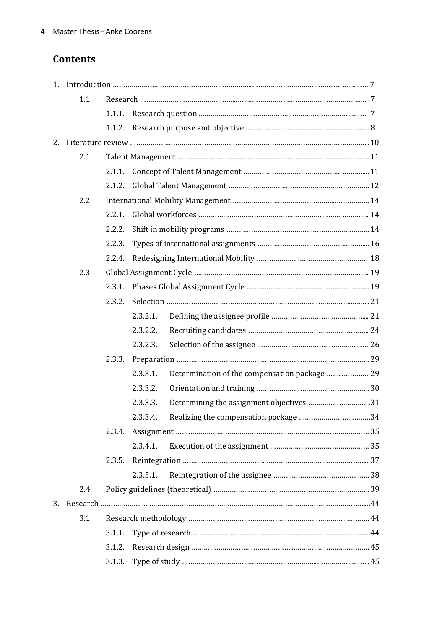#### **Contents**

| 1.1. |        |          |                                               |  |
|------|--------|----------|-----------------------------------------------|--|
|      |        |          |                                               |  |
|      |        |          |                                               |  |
|      |        |          |                                               |  |
| 2.1. |        |          |                                               |  |
|      |        |          |                                               |  |
|      |        |          |                                               |  |
| 2.2. |        |          |                                               |  |
|      | 2.2.1. |          |                                               |  |
|      | 2.2.2. |          |                                               |  |
|      | 2.2.3. |          |                                               |  |
|      | 2.2.4. |          |                                               |  |
| 2.3. |        |          |                                               |  |
|      |        |          |                                               |  |
|      | 2.3.2. |          |                                               |  |
|      |        | 2.3.2.1. |                                               |  |
|      |        | 2.3.2.2. |                                               |  |
|      |        | 2.3.2.3. |                                               |  |
|      | 2.3.3. |          |                                               |  |
|      |        | 2.3.3.1. | Determination of the compensation package  29 |  |
|      |        | 2.3.3.2. |                                               |  |
|      |        | 2.3.3.3. | Determining the assignment objectives 31      |  |
|      |        |          |                                               |  |
|      | 2.3.4. |          |                                               |  |
|      |        | 2.3.4.1. |                                               |  |
|      | 2.3.5. |          |                                               |  |
|      |        | 2.3.5.1. |                                               |  |
| 2.4. |        |          |                                               |  |
|      |        |          |                                               |  |
| 3.1. |        |          |                                               |  |
|      | 3.1.1. |          |                                               |  |
|      | 3.1.2. |          |                                               |  |
|      |        |          |                                               |  |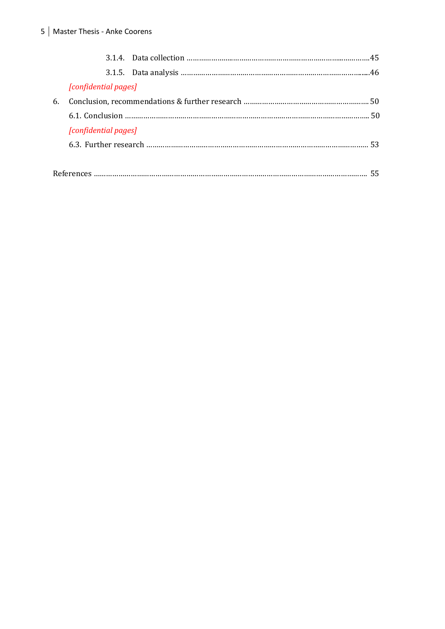|    | [confidential pages] |  |
|----|----------------------|--|
| 6. |                      |  |
|    |                      |  |
|    | [confidential pages] |  |
|    |                      |  |
|    |                      |  |
|    |                      |  |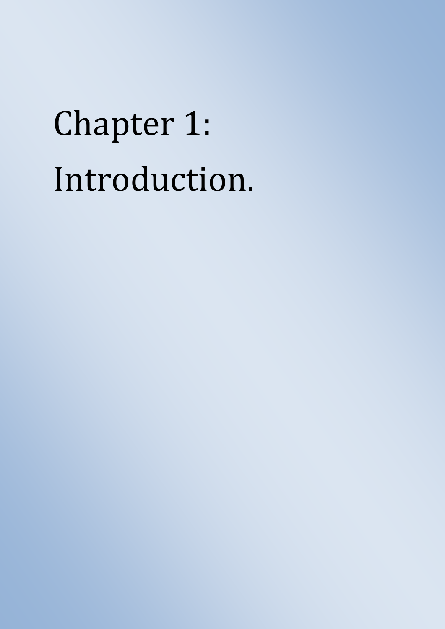## Chapter 1: Introduction.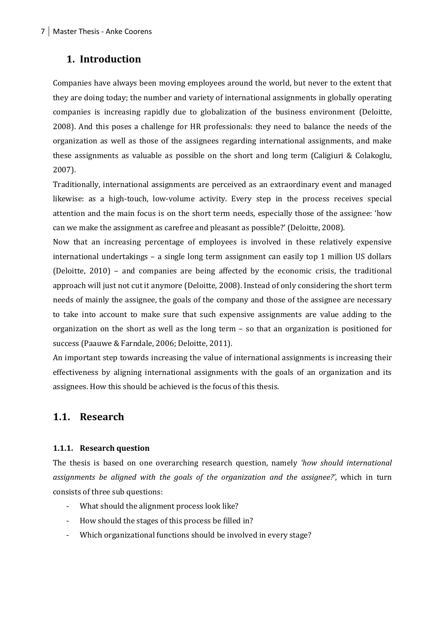#### **1. Introduction**

Companies have always been moving employees around the world, but never to the extent that they are doing today; the number and variety of international assignments in globally operating companies is increasing rapidly due to globalization of the business environment (Deloitte, 2008). And this poses a challenge for HR professionals: they need to balance the needs of the organization as well as those of the assignees regarding international assignments, and make these assignments as valuable as possible on the short and long term (Caligiuri & Colakoglu, 2007).

Traditionally, international assignments are perceived as an extraordinary event and managed likewise: as a high-touch, low-volume activity. Every step in the process receives special attention and the main focus is on the short term needs, especially those of the assignee: 'how can we make the assignment as carefree and pleasant as possible?' (Deloitte, 2008).

Now that an increasing percentage of employees is involved in these relatively expensive international undertakings – a single long term assignment can easily top 1 million US dollars (Deloitte, 2010) – and companies are being affected by the economic crisis, the traditional approach will just not cut it anymore (Deloitte, 2008). Instead of only considering the short term needs of mainly the assignee, the goals of the company and those of the assignee are necessary to take into account to make sure that such expensive assignments are value adding to the organization on the short as well as the long term – so that an organization is positioned for success (Paauwe & Farndale, 2006; Deloitte, 2011).

An important step towards increasing the value of international assignments is increasing their effectiveness by aligning international assignments with the goals of an organization and its assignees. How this should be achieved is the focus of this thesis.

#### **1.1. Research**

#### **1.1.1. Research question**

The thesis is based on one overarching research question, namely *'how should international assignments be aligned with the goals of the organization and the assignee?'*, which in turn consists of three sub questions:

- What should the alignment process look like?
- How should the stages of this process be filled in?
- Which organizational functions should be involved in every stage?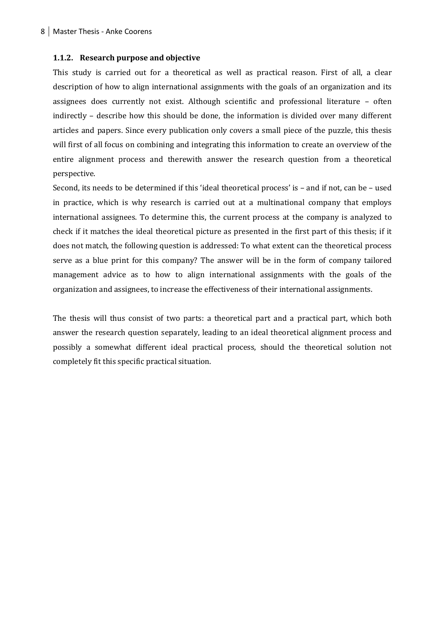#### **1.1.2. Research purpose and objective**

This study is carried out for a theoretical as well as practical reason. First of all, a clear description of how to align international assignments with the goals of an organization and its assignees does currently not exist. Although scientific and professional literature – often indirectly – describe how this should be done, the information is divided over many different articles and papers. Since every publication only covers a small piece of the puzzle, this thesis will first of all focus on combining and integrating this information to create an overview of the entire alignment process and therewith answer the research question from a theoretical perspective.

Second, its needs to be determined if this 'ideal theoretical process' is – and if not, can be – used in practice, which is why research is carried out at a multinational company that employs international assignees. To determine this, the current process at the company is analyzed to check if it matches the ideal theoretical picture as presented in the first part of this thesis; if it does not match, the following question is addressed: To what extent can the theoretical process serve as a blue print for this company? The answer will be in the form of company tailored management advice as to how to align international assignments with the goals of the organization and assignees, to increase the effectiveness of their international assignments.

The thesis will thus consist of two parts: a theoretical part and a practical part, which both answer the research question separately, leading to an ideal theoretical alignment process and possibly a somewhat different ideal practical process, should the theoretical solution not completely fit this specific practical situation.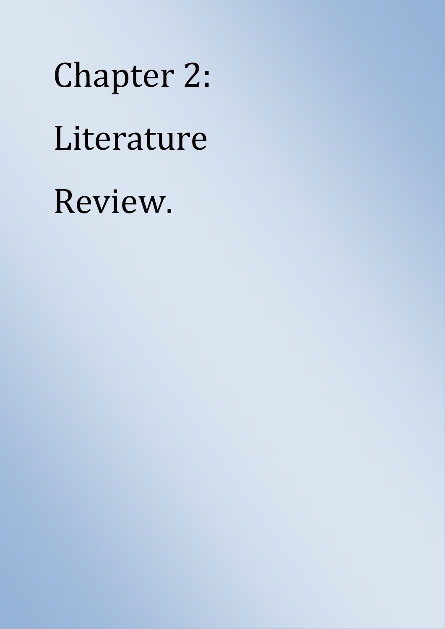Chapter 2: Literature Review.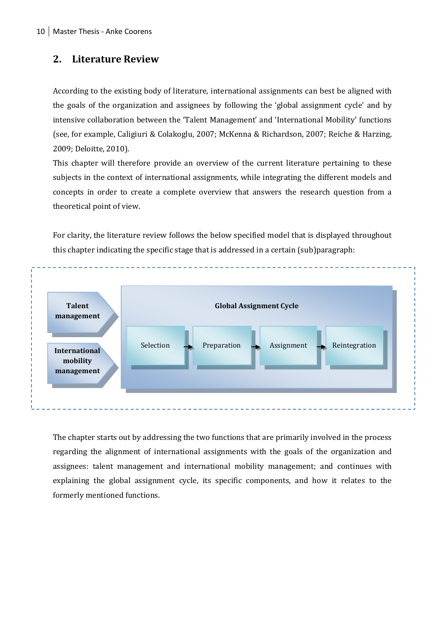#### **2. Literature Review**

According to the existing body of literature, international assignments can best be aligned with the goals of the organization and assignees by following the 'global assignment cycle' and by intensive collaboration between the 'Talent Management' and 'International Mobility' functions (see, for example, Caligiuri & Colakoglu, 2007; McKenna & Richardson, 2007; Reiche & Harzing, 2009; Deloitte, 2010).

This chapter will therefore provide an overview of the current literature pertaining to these subjects in the context of international assignments, while integrating the different models and concepts in order to create a complete overview that answers the research question from a theoretical point of view.

For clarity, the literature review follows the below specified model that is displayed throughout this chapter indicating the specific stage that is addressed in a certain (sub)paragraph:



The chapter starts out by addressing the two functions that are primarily involved in the process regarding the alignment of international assignments with the goals of the organization and assignees: talent management and international mobility management; and continues with explaining the global assignment cycle, its specific components, and how it relates to the formerly mentioned functions.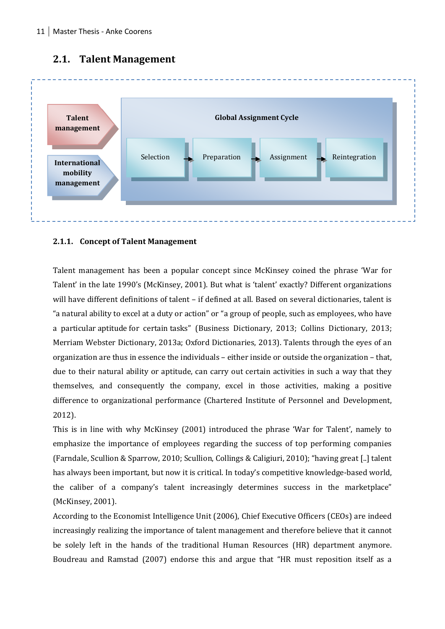

#### **2.1. Talent Management**

#### **2.1.1. Concept of Talent Management**

Talent management has been a popular concept since McKinsey coined the phrase 'War for Talent' in the late 1990's (McKinsey, 2001). But what is 'talent' exactly? Different organizations will have different definitions of talent – if defined at all. Based on several dictionaries, talent is "a natural ability to excel at a duty or action" or "a group of people, such as employees, who have a particular aptitude for certain tasks" (Business Dictionary, 2013; Collins Dictionary, 2013; Merriam Webster Dictionary, 2013a; Oxford Dictionaries, 2013). Talents through the eyes of an organization are thus in essence the individuals – either inside or outside the organization – that, due to their natural ability or aptitude, can carry out certain activities in such a way that they themselves, and consequently the company, excel in those activities, making a positive difference to organizational performance (Chartered Institute of Personnel and Development, 2012).

This is in line with why McKinsey (2001) introduced the phrase 'War for Talent', namely to emphasize the importance of employees regarding the success of top performing companies (Farndale, Scullion & Sparrow, 2010; Scullion, Collings & Caligiuri, 2010); "having great [..] talent has always been important, but now it is critical. In today's competitive knowledge-based world, the caliber of a company's talent increasingly determines success in the marketplace" (McKinsey, 2001).

According to the Economist Intelligence Unit (2006), Chief Executive Officers (CEOs) are indeed increasingly realizing the importance of talent management and therefore believe that it cannot be solely left in the hands of the traditional Human Resources (HR) department anymore. Boudreau and Ramstad (2007) endorse this and argue that "HR must reposition itself as a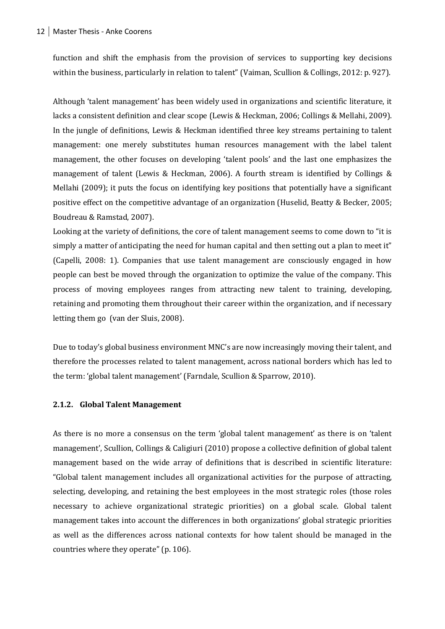function and shift the emphasis from the provision of services to supporting key decisions within the business, particularly in relation to talent" (Vaiman, Scullion & Collings, 2012: p. 927).

Although 'talent management' has been widely used in organizations and scientific literature, it lacks a consistent definition and clear scope (Lewis & Heckman, 2006; Collings & Mellahi, 2009). In the jungle of definitions, Lewis & Heckman identified three key streams pertaining to talent management: one merely substitutes human resources management with the label talent management, the other focuses on developing 'talent pools' and the last one emphasizes the management of talent (Lewis & Heckman, 2006). A fourth stream is identified by Collings & Mellahi (2009); it puts the focus on identifying key positions that potentially have a significant positive effect on the competitive advantage of an organization (Huselid, Beatty & Becker, 2005; Boudreau & Ramstad, 2007).

Looking at the variety of definitions, the core of talent management seems to come down to "it is simply a matter of anticipating the need for human capital and then setting out a plan to meet it" (Capelli, 2008: 1). Companies that use talent management are consciously engaged in how people can best be moved through the organization to optimize the value of the company. This process of moving employees ranges from attracting new talent to training, developing, retaining and promoting them throughout their career within the organization, and if necessary letting them go (van der Sluis, 2008).

Due to today's global business environment MNC's are now increasingly moving their talent, and therefore the processes related to talent management, across national borders which has led to the term: 'global talent management' (Farndale, Scullion & Sparrow, 2010).

#### **2.1.2. Global Talent Management**

As there is no more a consensus on the term 'global talent management' as there is on 'talent management', Scullion, Collings & Caligiuri (2010) propose a collective definition of global talent management based on the wide array of definitions that is described in scientific literature: "Global talent management includes all organizational activities for the purpose of attracting, selecting, developing, and retaining the best employees in the most strategic roles (those roles necessary to achieve organizational strategic priorities) on a global scale. Global talent management takes into account the differences in both organizations' global strategic priorities as well as the differences across national contexts for how talent should be managed in the countries where they operate" (p. 106).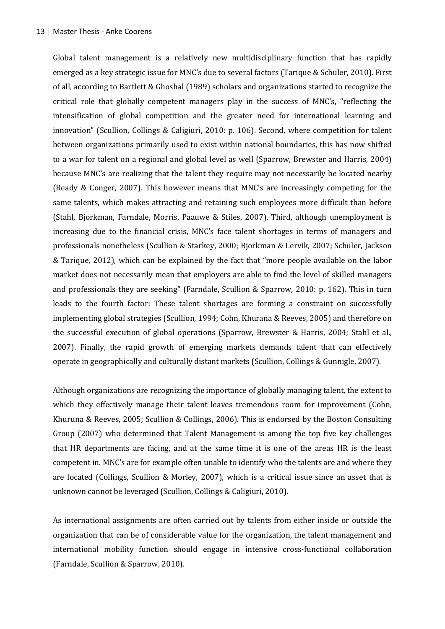Global talent management is a relatively new multidisciplinary function that has rapidly emerged as a key strategic issue for MNC's due to several factors (Tarique & Schuler, 2010). First of all, according to Bartlett & Ghoshal (1989) scholars and organizations started to recognize the critical role that globally competent managers play in the success of MNC's, "reflecting the intensification of global competition and the greater need for international learning and innovation" (Scullion, Collings & Caligiuri, 2010: p. 106). Second, where competition for talent between organizations primarily used to exist within national boundaries, this has now shifted to a war for talent on a regional and global level as well (Sparrow, Brewster and Harris, 2004) because MNC's are realizing that the talent they require may not necessarily be located nearby (Ready & Conger, 2007). This however means that MNC's are increasingly competing for the same talents, which makes attracting and retaining such employees more difficult than before (Stahl, Bjorkman, Farndale, Morris, Paauwe & Stiles, 2007). Third, although unemployment is increasing due to the financial crisis, MNC's face talent shortages in terms of managers and professionals nonetheless (Scullion & Starkey, 2000; Bjorkman & Lervik, 2007; Schuler, Jackson & Tarique, 2012), which can be explained by the fact that "more people available on the labor market does not necessarily mean that employers are able to find the level of skilled managers and professionals they are seeking" (Farndale, Scullion & Sparrow, 2010: p. 162). This in turn leads to the fourth factor: These talent shortages are forming a constraint on successfully implementing global strategies (Scullion, 1994; Cohn, Khurana & Reeves, 2005) and therefore on the successful execution of global operations (Sparrow, Brewster & Harris, 2004; Stahl et al., 2007). Finally, the rapid growth of emerging markets demands talent that can effectively operate in geographically and culturally distant markets (Scullion, Collings & Gunnigle, 2007).

Although organizations are recognizing the importance of globally managing talent, the extent to which they effectively manage their talent leaves tremendous room for improvement (Cohn, Khuruna & Reeves, 2005; Scullion & Collings, 2006). This is endorsed by the Boston Consulting Group (2007) who determined that Talent Management is among the top five key challenges that HR departments are facing, and at the same time it is one of the areas HR is the least competent in. MNC's are for example often unable to identify who the talents are and where they are located (Collings, Scullion & Morley, 2007), which is a critical issue since an asset that is unknown cannot be leveraged (Scullion, Collings & Caligiuri, 2010).

As international assignments are often carried out by talents from either inside or outside the organization that can be of considerable value for the organization, the talent management and international mobility function should engage in intensive cross-functional collaboration (Farndale, Scullion & Sparrow, 2010).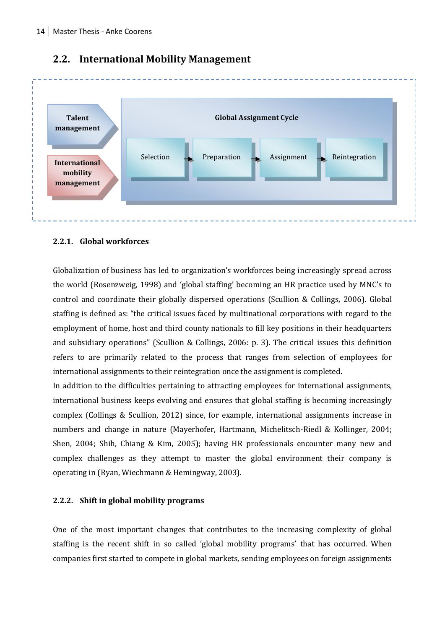

#### **2.2. International Mobility Management**

#### **2.2.1. Global workforces**

Globalization of business has led to organization's workforces being increasingly spread across the world (Rosenzweig, 1998) and 'global staffing' becoming an HR practice used by MNC's to control and coordinate their globally dispersed operations (Scullion & Collings, 2006). Global staffing is defined as: "the critical issues faced by multinational corporations with regard to the employment of home, host and third county nationals to fill key positions in their headquarters and subsidiary operations" (Scullion & Collings, 2006: p. 3). The critical issues this definition refers to are primarily related to the process that ranges from selection of employees for international assignments to their reintegration once the assignment is completed.

In addition to the difficulties pertaining to attracting employees for international assignments, international business keeps evolving and ensures that global staffing is becoming increasingly complex (Collings & Scullion, 2012) since, for example, international assignments increase in numbers and change in nature (Mayerhofer, Hartmann, Michelitsch-Riedl & Kollinger, 2004; Shen, 2004; Shih, Chiang & Kim, 2005); having HR professionals encounter many new and complex challenges as they attempt to master the global environment their company is operating in (Ryan, Wiechmann & Hemingway, 2003).

#### **2.2.2. Shift in global mobility programs**

One of the most important changes that contributes to the increasing complexity of global staffing is the recent shift in so called 'global mobility programs' that has occurred. When companies first started to compete in global markets, sending employees on foreign assignments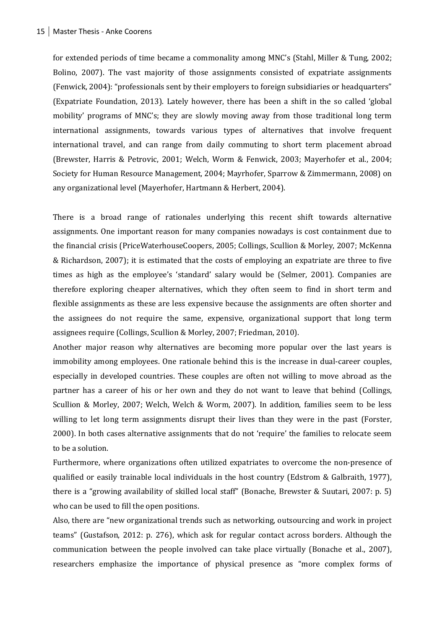for extended periods of time became a commonality among MNC's (Stahl, Miller & Tung, 2002; Bolino, 2007). The vast majority of those assignments consisted of expatriate assignments (Fenwick, 2004): "professionals sent by their employers to foreign subsidiaries or headquarters" (Expatriate Foundation, 2013). Lately however, there has been a shift in the so called 'global mobility' programs of MNC's; they are slowly moving away from those traditional long term international assignments, towards various types of alternatives that involve frequent international travel, and can range from daily commuting to short term placement abroad (Brewster, Harris & Petrovic, 2001; Welch, Worm & Fenwick, 2003; Mayerhofer et al., 2004; Society for Human Resource Management, 2004; Mayrhofer, Sparrow & Zimmermann, 2008) on any organizational level (Mayerhofer, Hartmann & Herbert, 2004).

There is a broad range of rationales underlying this recent shift towards alternative assignments. One important reason for many companies nowadays is cost containment due to the financial crisis (PriceWaterhouseCoopers, 2005; Collings, Scullion & Morley, 2007; McKenna & Richardson, 2007); it is estimated that the costs of employing an expatriate are three to five times as high as the employee's 'standard' salary would be (Selmer, 2001). Companies are therefore exploring cheaper alternatives, which they often seem to find in short term and flexible assignments as these are less expensive because the assignments are often shorter and the assignees do not require the same, expensive, organizational support that long term assignees require (Collings, Scullion & Morley, 2007; Friedman, 2010).

Another major reason why alternatives are becoming more popular over the last years is immobility among employees. One rationale behind this is the increase in dual-career couples, especially in developed countries. These couples are often not willing to move abroad as the partner has a career of his or her own and they do not want to leave that behind (Collings, Scullion & Morley, 2007; Welch, Welch & Worm, 2007). In addition, families seem to be less willing to let long term assignments disrupt their lives than they were in the past (Forster, 2000). In both cases alternative assignments that do not 'require' the families to relocate seem to be a solution.

Furthermore, where organizations often utilized expatriates to overcome the non-presence of qualified or easily trainable local individuals in the host country (Edstrom & Galbraith, 1977), there is a "growing availability of skilled local staff" (Bonache, Brewster & Suutari, 2007: p. 5) who can be used to fill the open positions.

Also, there are "new organizational trends such as networking, outsourcing and work in project teams" (Gustafson, 2012: p. 276), which ask for regular contact across borders. Although the communication between the people involved can take place virtually (Bonache et al., 2007), researchers emphasize the importance of physical presence as "more complex forms of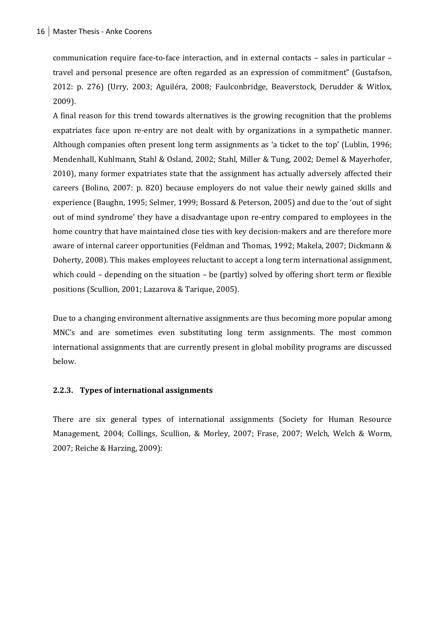communication require face-to-face interaction, and in external contacts – sales in particular – travel and personal presence are often regarded as an expression of commitment" (Gustafson, 2012: p. 276) (Urry, 2003; Aguiléra, 2008; Faulconbridge, Beaverstock, Derudder & Witlox, 2009).

A final reason for this trend towards alternatives is the growing recognition that the problems expatriates face upon re-entry are not dealt with by organizations in a sympathetic manner. Although companies often present long term assignments as 'a ticket to the top' (Lublin, 1996; Mendenhall, Kuhlmann, Stahl & Osland, 2002; Stahl, Miller & Tung, 2002; Demel & Mayerhofer, 2010), many former expatriates state that the assignment has actually adversely affected their careers (Bolino, 2007: p. 820) because employers do not value their newly gained skills and experience (Baughn, 1995; Selmer, 1999; Bossard & Peterson, 2005) and due to the 'out of sight out of mind syndrome' they have a disadvantage upon re-entry compared to employees in the home country that have maintained close ties with key decision-makers and are therefore more aware of internal career opportunities (Feldman and Thomas, 1992; Makela, 2007; Dickmann & Doherty, 2008). This makes employees reluctant to accept a long term international assignment, which could – depending on the situation – be (partly) solved by offering short term or flexible positions (Scullion, 2001; Lazarova & Tarique, 2005).

Due to a changing environment alternative assignments are thus becoming more popular among MNC's and are sometimes even substituting long term assignments. The most common international assignments that are currently present in global mobility programs are discussed below.

#### **2.2.3. Types of international assignments**

There are six general types of international assignments (Society for Human Resource Management, 2004; Collings, Scullion, & Morley, 2007; Frase, 2007; Welch, Welch & Worm, 2007; Reiche & Harzing, 2009):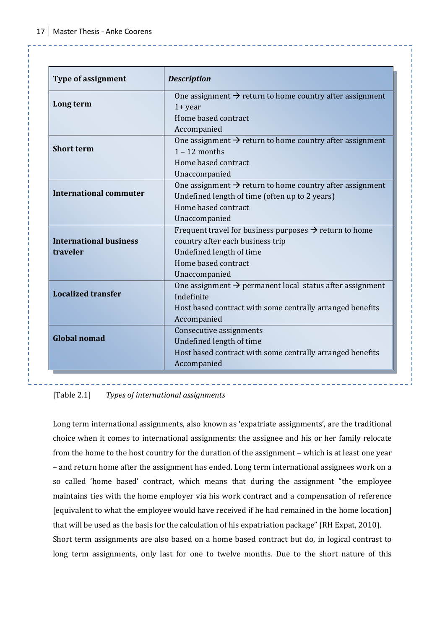| <b>Type of assignment</b>     | <b>Description</b>                                                                      |
|-------------------------------|-----------------------------------------------------------------------------------------|
| Long term                     | One assignment $\rightarrow$ return to home country after assignment                    |
|                               | $1 + year$<br>Home based contract                                                       |
|                               |                                                                                         |
|                               | Accompanied                                                                             |
| <b>Short term</b>             | One assignment $\rightarrow$ return to home country after assignment<br>$1 - 12$ months |
|                               | Home based contract                                                                     |
|                               |                                                                                         |
|                               | Unaccompanied                                                                           |
| <b>International commuter</b> | One assignment $\rightarrow$ return to home country after assignment                    |
|                               | Undefined length of time (often up to 2 years)                                          |
|                               | Home based contract                                                                     |
|                               | Unaccompanied                                                                           |
|                               | Frequent travel for business purposes $\rightarrow$ return to home                      |
| <b>International business</b> | country after each business trip                                                        |
| traveler                      | Undefined length of time                                                                |
|                               | Home based contract                                                                     |
|                               | Unaccompanied                                                                           |
| <b>Localized transfer</b>     | One assignment $\rightarrow$ permanent local status after assignment                    |
|                               | Indefinite                                                                              |
|                               | Host based contract with some centrally arranged benefits                               |
|                               | Accompanied                                                                             |
| <b>Global nomad</b>           | Consecutive assignments                                                                 |
|                               | Undefined length of time                                                                |
|                               | Host based contract with some centrally arranged benefits                               |
|                               | Accompanied                                                                             |

[Table 2.1] *Types of international assignments*

Long term international assignments, also known as 'expatriate assignments', are the traditional choice when it comes to international assignments: the assignee and his or her family relocate from the home to the host country for the duration of the assignment – which is at least one year – and return home after the assignment has ended. Long term international assignees work on a so called 'home based' contract, which means that during the assignment "the employee maintains ties with the home employer via his work contract and a compensation of reference [equivalent to what the employee would have received if he had remained in the home location] that will be used as the basis for the calculation of his expatriation package" (RH Expat, 2010). Short term assignments are also based on a home based contract but do, in logical contrast to long term assignments, only last for one to twelve months. Due to the short nature of this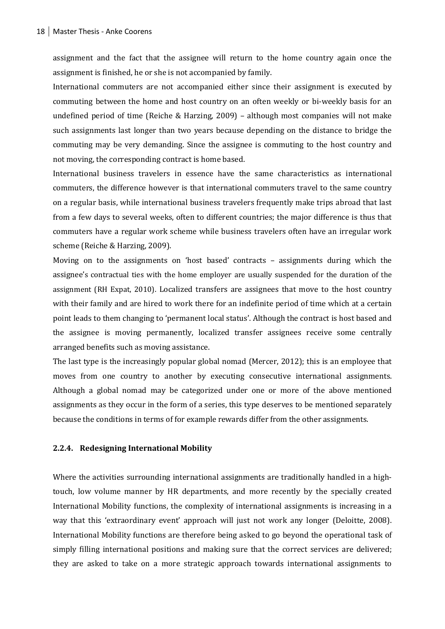assignment and the fact that the assignee will return to the home country again once the assignment is finished, he or she is not accompanied by family.

International commuters are not accompanied either since their assignment is executed by commuting between the home and host country on an often weekly or bi-weekly basis for an undefined period of time (Reiche & Harzing, 2009) – although most companies will not make such assignments last longer than two years because depending on the distance to bridge the commuting may be very demanding. Since the assignee is commuting to the host country and not moving, the corresponding contract is home based.

International business travelers in essence have the same characteristics as international commuters, the difference however is that international commuters travel to the same country on a regular basis, while international business travelers frequently make trips abroad that last from a few days to several weeks, often to different countries; the major difference is thus that commuters have a regular work scheme while business travelers often have an irregular work scheme (Reiche & Harzing, 2009).

Moving on to the assignments on 'host based' contracts – assignments during which the assignee's contractual ties with the home employer are usually suspended for the duration of the assignment (RH Expat, 2010). Localized transfers are assignees that move to the host country with their family and are hired to work there for an indefinite period of time which at a certain point leads to them changing to 'permanent local status'. Although the contract is host based and the assignee is moving permanently, localized transfer assignees receive some centrally arranged benefits such as moving assistance.

The last type is the increasingly popular global nomad (Mercer, 2012); this is an employee that moves from one country to another by executing consecutive international assignments. Although a global nomad may be categorized under one or more of the above mentioned assignments as they occur in the form of a series, this type deserves to be mentioned separately because the conditions in terms of for example rewards differ from the other assignments.

#### **2.2.4. Redesigning International Mobility**

Where the activities surrounding international assignments are traditionally handled in a hightouch, low volume manner by HR departments, and more recently by the specially created International Mobility functions, the complexity of international assignments is increasing in a way that this 'extraordinary event' approach will just not work any longer (Deloitte, 2008). International Mobility functions are therefore being asked to go beyond the operational task of simply filling international positions and making sure that the correct services are delivered; they are asked to take on a more strategic approach towards international assignments to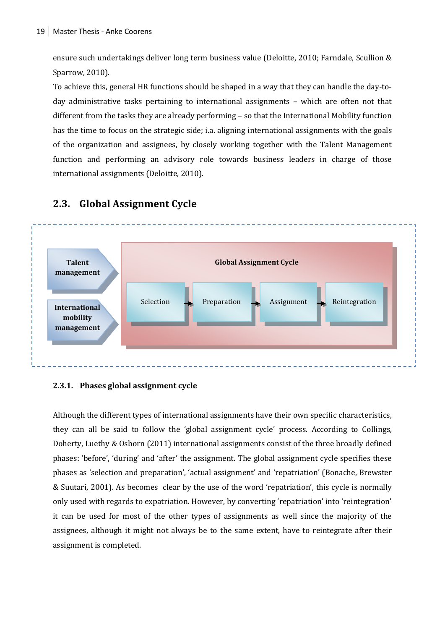ensure such undertakings deliver long term business value (Deloitte, 2010; Farndale, Scullion & Sparrow, 2010).

To achieve this, general HR functions should be shaped in a way that they can handle the day-today administrative tasks pertaining to international assignments – which are often not that different from the tasks they are already performing – so that the International Mobility function has the time to focus on the strategic side; i.a. aligning international assignments with the goals of the organization and assignees, by closely working together with the Talent Management function and performing an advisory role towards business leaders in charge of those international assignments (Deloitte, 2010).



#### **2.3. Global Assignment Cycle**

#### **2.3.1. Phases global assignment cycle**

Although the different types of international assignments have their own specific characteristics, they can all be said to follow the 'global assignment cycle' process. According to Collings, Doherty, Luethy & Osborn (2011) international assignments consist of the three broadly defined phases: 'before', 'during' and 'after' the assignment. The global assignment cycle specifies these phases as 'selection and preparation', 'actual assignment' and 'repatriation' (Bonache, Brewster & Suutari, 2001). As becomes clear by the use of the word 'repatriation', this cycle is normally only used with regards to expatriation. However, by converting 'repatriation' into 'reintegration' it can be used for most of the other types of assignments as well since the majority of the assignees, although it might not always be to the same extent, have to reintegrate after their assignment is completed.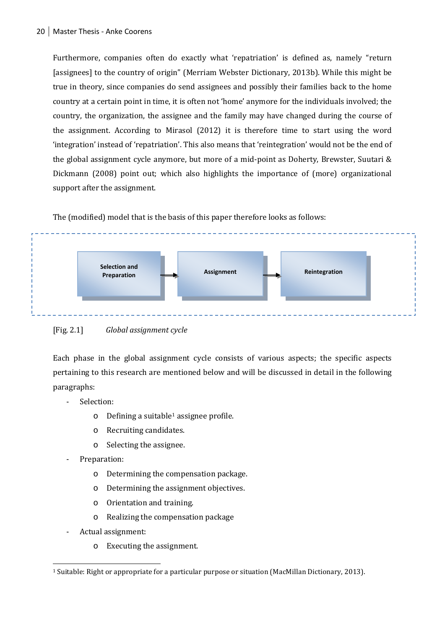Furthermore, companies often do exactly what 'repatriation' is defined as, namely "return [assignees] to the country of origin" (Merriam Webster Dictionary, 2013b). While this might be true in theory, since companies do send assignees and possibly their families back to the home country at a certain point in time, it is often not 'home' anymore for the individuals involved; the country, the organization, the assignee and the family may have changed during the course of the assignment. According to Mirasol (2012) it is therefore time to start using the word 'integration' instead of 'repatriation'. This also means that 'reintegration' would not be the end of the global assignment cycle anymore, but more of a mid-point as Doherty, Brewster, Suutari & Dickmann (2008) point out; which also highlights the importance of (more) organizational support after the assignment.

The (modified) model that is the basis of this paper therefore looks as follows:





Each phase in the global assignment cycle consists of various aspects; the specific aspects pertaining to this research are mentioned below and will be discussed in detail in the following paragraphs:

- Selection:
	- $\circ$  Defining a suitable<sup>[1](#page-20-0)</sup> assignee profile.
	- o Recruiting candidates.
	- o Selecting the assignee.
- Preparation:
	- o Determining the compensation package.
	- o Determining the assignment objectives.
	- o Orientation and training.
	- o Realizing the compensation package
- Actual assignment:
	- o Executing the assignment.

<span id="page-20-0"></span> <sup>1</sup> Suitable: Right or appropriate for a particular purpose or situation (MacMillan Dictionary, 2013).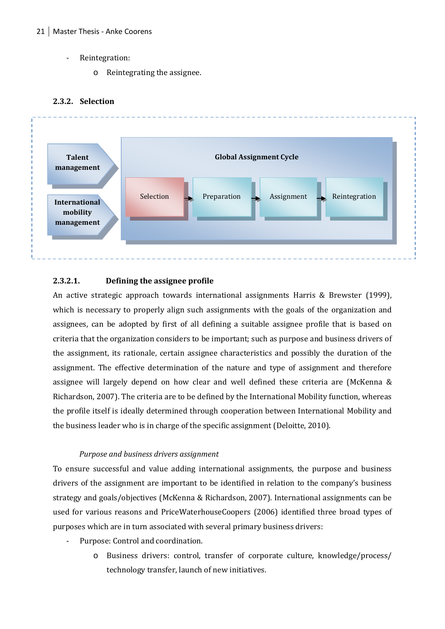- Reintegration:
	- o Reintegrating the assignee.

#### **2.3.2. Selection**



#### **2.3.2.1. Defining the assignee profile**

An active strategic approach towards international assignments Harris & Brewster (1999), which is necessary to properly align such assignments with the goals of the organization and assignees, can be adopted by first of all defining a suitable assignee profile that is based on criteria that the organization considers to be important; such as purpose and business drivers of the assignment, its rationale, certain assignee characteristics and possibly the duration of the assignment. The effective determination of the nature and type of assignment and therefore assignee will largely depend on how clear and well defined these criteria are (McKenna & Richardson, 2007). The criteria are to be defined by the International Mobility function, whereas the profile itself is ideally determined through cooperation between International Mobility and the business leader who is in charge of the specific assignment (Deloitte, 2010).

#### *Purpose and business drivers assignment*

To ensure successful and value adding international assignments, the purpose and business drivers of the assignment are important to be identified in relation to the company's business strategy and goals/objectives (McKenna & Richardson, 2007). International assignments can be used for various reasons and PriceWaterhouseCoopers (2006) identified three broad types of purposes which are in turn associated with several primary business drivers:

- Purpose: Control and coordination.
	- o Business drivers: control, transfer of corporate culture, knowledge/process/ technology transfer, launch of new initiatives.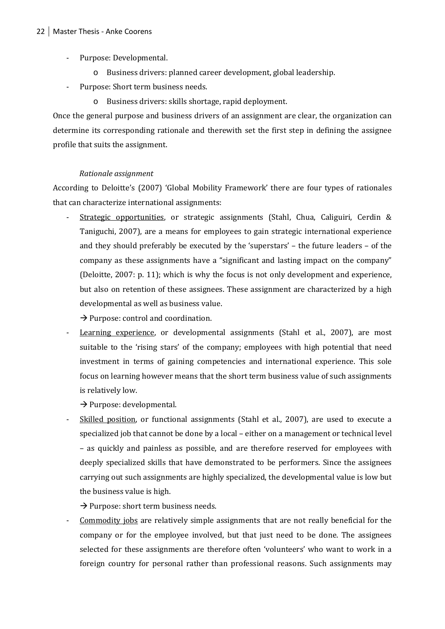- Purpose: Developmental.
	- o Business drivers: planned career development, global leadership.
- Purpose: Short term business needs.
	- o Business drivers: skills shortage, rapid deployment.

Once the general purpose and business drivers of an assignment are clear, the organization can determine its corresponding rationale and therewith set the first step in defining the assignee profile that suits the assignment.

#### *Rationale assignment*

According to Deloitte's (2007) 'Global Mobility Framework' there are four types of rationales that can characterize international assignments:

Strategic opportunities, or strategic assignments (Stahl, Chua, Caliguiri, Cerdin & Taniguchi, 2007), are a means for employees to gain strategic international experience and they should preferably be executed by the 'superstars' – the future leaders – of the company as these assignments have a "significant and lasting impact on the company" (Deloitte, 2007: p. 11); which is why the focus is not only development and experience, but also on retention of these assignees. These assignment are characterized by a high developmental as well as business value.

 $\rightarrow$  Purpose: control and coordination.

Learning experience, or developmental assignments (Stahl et al., 2007), are most suitable to the 'rising stars' of the company; employees with high potential that need investment in terms of gaining competencies and international experience. This sole focus on learning however means that the short term business value of such assignments is relatively low.

 $\rightarrow$  Purpose: developmental.

Skilled position, or functional assignments (Stahl et al., 2007), are used to execute a specialized job that cannot be done by a local – either on a management or technical level – as quickly and painless as possible, and are therefore reserved for employees with deeply specialized skills that have demonstrated to be performers. Since the assignees carrying out such assignments are highly specialized, the developmental value is low but the business value is high.

 $\rightarrow$  Purpose: short term business needs.

Commodity jobs are relatively simple assignments that are not really beneficial for the company or for the employee involved, but that just need to be done. The assignees selected for these assignments are therefore often 'volunteers' who want to work in a foreign country for personal rather than professional reasons. Such assignments may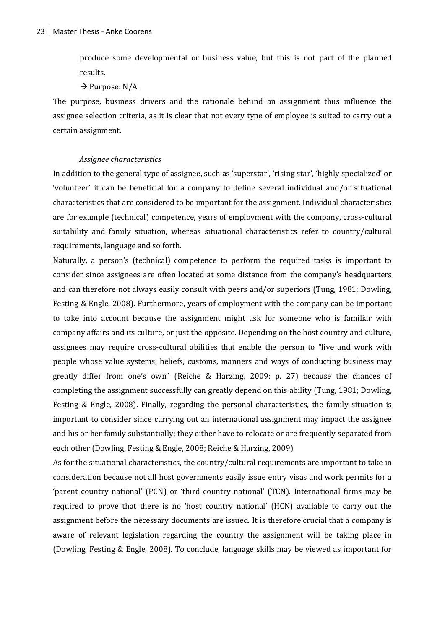produce some developmental or business value, but this is not part of the planned results.

 $\rightarrow$  Purpose: N/A.

The purpose, business drivers and the rationale behind an assignment thus influence the assignee selection criteria, as it is clear that not every type of employee is suited to carry out a certain assignment.

#### *Assignee characteristics*

In addition to the general type of assignee, such as 'superstar', 'rising star', 'highly specialized' or 'volunteer' it can be beneficial for a company to define several individual and/or situational characteristics that are considered to be important for the assignment. Individual characteristics are for example (technical) competence, years of employment with the company, cross-cultural suitability and family situation, whereas situational characteristics refer to country/cultural requirements, language and so forth.

Naturally, a person's (technical) competence to perform the required tasks is important to consider since assignees are often located at some distance from the company's headquarters and can therefore not always easily consult with peers and/or superiors (Tung, 1981; Dowling, Festing & Engle, 2008). Furthermore, years of employment with the company can be important to take into account because the assignment might ask for someone who is familiar with company affairs and its culture, or just the opposite. Depending on the host country and culture, assignees may require cross-cultural abilities that enable the person to "live and work with people whose value systems, beliefs, customs, manners and ways of conducting business may greatly differ from one's own" (Reiche & Harzing, 2009: p. 27) because the chances of completing the assignment successfully can greatly depend on this ability (Tung, 1981; Dowling, Festing & Engle, 2008). Finally, regarding the personal characteristics, the family situation is important to consider since carrying out an international assignment may impact the assignee and his or her family substantially; they either have to relocate or are frequently separated from each other (Dowling, Festing & Engle, 2008; Reiche & Harzing, 2009).

As for the situational characteristics, the country/cultural requirements are important to take in consideration because not all host governments easily issue entry visas and work permits for a 'parent country national' (PCN) or 'third country national' (TCN). International firms may be required to prove that there is no 'host country national' (HCN) available to carry out the assignment before the necessary documents are issued. It is therefore crucial that a company is aware of relevant legislation regarding the country the assignment will be taking place in (Dowling, Festing & Engle, 2008). To conclude, language skills may be viewed as important for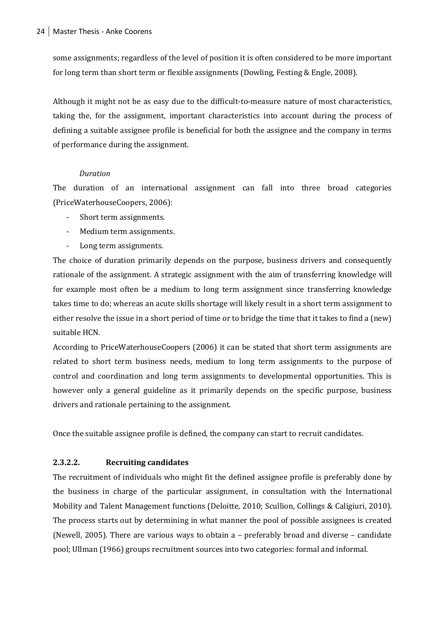some assignments; regardless of the level of position it is often considered to be more important for long term than short term or flexible assignments (Dowling, Festing & Engle, 2008).

Although it might not be as easy due to the difficult-to-measure nature of most characteristics, taking the, for the assignment, important characteristics into account during the process of defining a suitable assignee profile is beneficial for both the assignee and the company in terms of performance during the assignment.

#### *Duration*

The duration of an international assignment can fall into three broad categories (PriceWaterhouseCoopers, 2006):

- Short term assignments.
- Medium term assignments.
- Long term assignments.

The choice of duration primarily depends on the purpose, business drivers and consequently rationale of the assignment. A strategic assignment with the aim of transferring knowledge will for example most often be a medium to long term assignment since transferring knowledge takes time to do; whereas an acute skills shortage will likely result in a short term assignment to either resolve the issue in a short period of time or to bridge the time that it takes to find a (new) suitable HCN.

According to PriceWaterhouseCoopers (2006) it can be stated that short term assignments are related to short term business needs, medium to long term assignments to the purpose of control and coordination and long term assignments to developmental opportunities. This is however only a general guideline as it primarily depends on the specific purpose, business drivers and rationale pertaining to the assignment.

Once the suitable assignee profile is defined, the company can start to recruit candidates.

#### **2.3.2.2. Recruiting candidates**

The recruitment of individuals who might fit the defined assignee profile is preferably done by the business in charge of the particular assignment, in consultation with the International Mobility and Talent Management functions (Deloitte, 2010; Scullion, Collings & Caligiuri, 2010). The process starts out by determining in what manner the pool of possible assignees is created (Newell, 2005). There are various ways to obtain a – preferably broad and diverse – candidate pool; Ullman (1966) groups recruitment sources into two categories: formal and informal.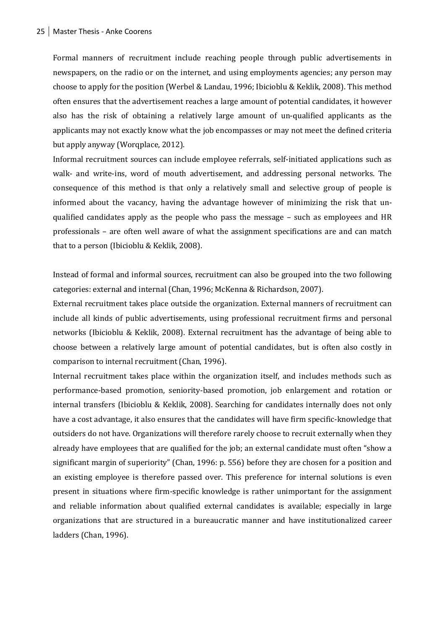Formal manners of recruitment include reaching people through public advertisements in newspapers, on the radio or on the internet, and using employments agencies; any person may choose to apply for the position (Werbel & Landau, 1996; Ibicioblu & Keklik, 2008). This method often ensures that the advertisement reaches a large amount of potential candidates, it however also has the risk of obtaining a relatively large amount of un-qualified applicants as the applicants may not exactly know what the job encompasses or may not meet the defined criteria but apply anyway (Worqplace, 2012).

Informal recruitment sources can include employee referrals, self-initiated applications such as walk- and write-ins, word of mouth advertisement, and addressing personal networks. The consequence of this method is that only a relatively small and selective group of people is informed about the vacancy, having the advantage however of minimizing the risk that unqualified candidates apply as the people who pass the message – such as employees and HR professionals – are often well aware of what the assignment specifications are and can match that to a person (Ibicioblu & Keklik, 2008).

Instead of formal and informal sources, recruitment can also be grouped into the two following categories: external and internal (Chan, 1996; McKenna & Richardson, 2007).

External recruitment takes place outside the organization. External manners of recruitment can include all kinds of public advertisements, using professional recruitment firms and personal networks (Ibicioblu & Keklik, 2008). External recruitment has the advantage of being able to choose between a relatively large amount of potential candidates, but is often also costly in comparison to internal recruitment (Chan, 1996).

Internal recruitment takes place within the organization itself, and includes methods such as performance-based promotion, seniority-based promotion, job enlargement and rotation or internal transfers (Ibicioblu & Keklik, 2008). Searching for candidates internally does not only have a cost advantage, it also ensures that the candidates will have firm specific-knowledge that outsiders do not have. Organizations will therefore rarely choose to recruit externally when they already have employees that are qualified for the job; an external candidate must often "show a significant margin of superiority" (Chan, 1996: p. 556) before they are chosen for a position and an existing employee is therefore passed over. This preference for internal solutions is even present in situations where firm-specific knowledge is rather unimportant for the assignment and reliable information about qualified external candidates is available; especially in large organizations that are structured in a bureaucratic manner and have institutionalized career ladders (Chan, 1996).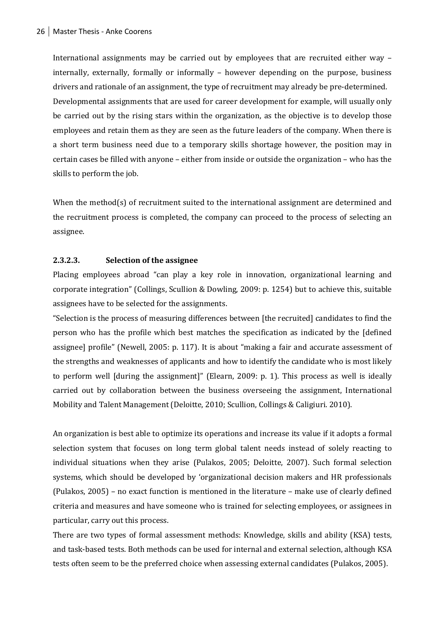International assignments may be carried out by employees that are recruited either way – internally, externally, formally or informally – however depending on the purpose, business drivers and rationale of an assignment, the type of recruitment may already be pre-determined. Developmental assignments that are used for career development for example, will usually only be carried out by the rising stars within the organization, as the objective is to develop those employees and retain them as they are seen as the future leaders of the company. When there is a short term business need due to a temporary skills shortage however, the position may in certain cases be filled with anyone – either from inside or outside the organization – who has the skills to perform the job.

When the method(s) of recruitment suited to the international assignment are determined and the recruitment process is completed, the company can proceed to the process of selecting an assignee.

#### **2.3.2.3. Selection of the assignee**

Placing employees abroad "can play a key role in innovation, organizational learning and corporate integration" (Collings, Scullion & Dowling, 2009: p. 1254) but to achieve this, suitable assignees have to be selected for the assignments.

"Selection is the process of measuring differences between [the recruited] candidates to find the person who has the profile which best matches the specification as indicated by the [defined assignee] profile" (Newell, 2005: p. 117). It is about "making a fair and accurate assessment of the strengths and weaknesses of applicants and how to identify the candidate who is most likely to perform well [during the assignment]" (Elearn, 2009: p. 1). This process as well is ideally carried out by collaboration between the business overseeing the assignment, International Mobility and Talent Management (Deloitte, 2010; Scullion, Collings & Caligiuri. 2010).

An organization is best able to optimize its operations and increase its value if it adopts a formal selection system that focuses on long term global talent needs instead of solely reacting to individual situations when they arise (Pulakos, 2005; Deloitte, 2007). Such formal selection systems, which should be developed by 'organizational decision makers and HR professionals (Pulakos, 2005) – no exact function is mentioned in the literature – make use of clearly defined criteria and measures and have someone who is trained for selecting employees, or assignees in particular, carry out this process.

There are two types of formal assessment methods: Knowledge, skills and ability (KSA) tests, and task-based tests. Both methods can be used for internal and external selection, although KSA tests often seem to be the preferred choice when assessing external candidates (Pulakos, 2005).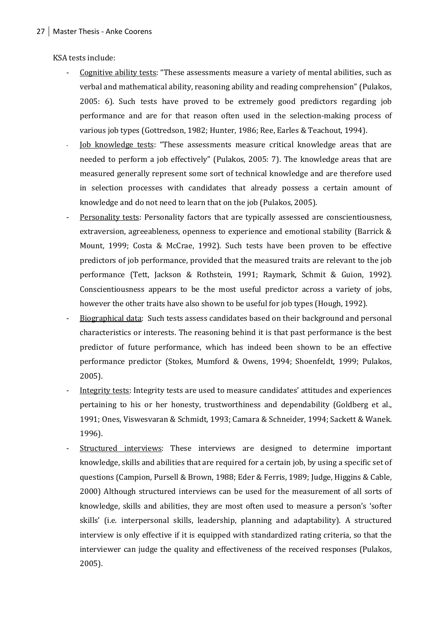KSA tests include:

- Cognitive ability tests: "These assessments measure a variety of mental abilities, such as verbal and mathematical ability, reasoning ability and reading comprehension" (Pulakos, 2005: 6). Such tests have proved to be extremely good predictors regarding job performance and are for that reason often used in the selection-making process of various job types (Gottredson, 1982; Hunter, 1986; Ree, Earles & Teachout, 1994).
- Iob knowledge tests: "These assessments measure critical knowledge areas that are needed to perform a job effectively" (Pulakos, 2005: 7). The knowledge areas that are measured generally represent some sort of technical knowledge and are therefore used in selection processes with candidates that already possess a certain amount of knowledge and do not need to learn that on the job (Pulakos, 2005).
- Personality tests: Personality factors that are typically assessed are conscientiousness, extraversion, agreeableness, openness to experience and emotional stability (Barrick & Mount, 1999; Costa & McCrae, 1992). Such tests have been proven to be effective predictors of job performance, provided that the measured traits are relevant to the job performance (Tett, Jackson & Rothstein, 1991; Raymark, Schmit & Guion, 1992). Conscientiousness appears to be the most useful predictor across a variety of jobs, however the other traits have also shown to be useful for job types (Hough, 1992).
- Biographical data: Such tests assess candidates based on their background and personal characteristics or interests. The reasoning behind it is that past performance is the best predictor of future performance, which has indeed been shown to be an effective performance predictor (Stokes, Mumford & Owens, 1994; Shoenfeldt, 1999; Pulakos, 2005).
- Integrity tests: Integrity tests are used to measure candidates' attitudes and experiences pertaining to his or her honesty, trustworthiness and dependability (Goldberg et al., 1991; Ones, Viswesvaran & Schmidt, 1993; Camara & Schneider, 1994; Sackett & Wanek. 1996).
- Structured interviews: These interviews are designed to determine important knowledge, skills and abilities that are required for a certain job, by using a specific set of questions (Campion, Pursell & Brown, 1988; Eder & Ferris, 1989; Judge, Higgins & Cable, 2000) Although structured interviews can be used for the measurement of all sorts of knowledge, skills and abilities, they are most often used to measure a person's 'softer skills' (i.e. interpersonal skills, leadership, planning and adaptability). A structured interview is only effective if it is equipped with standardized rating criteria, so that the interviewer can judge the quality and effectiveness of the received responses (Pulakos, 2005).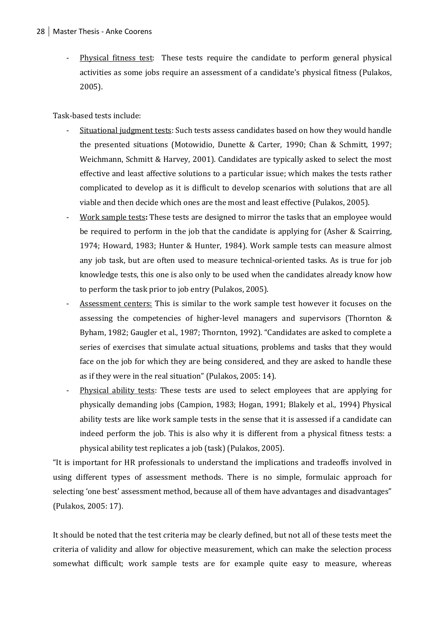Physical fitness test: These tests require the candidate to perform general physical activities as some jobs require an assessment of a candidate's physical fitness (Pulakos, 2005).

Task-based tests include:

- Situational judgment tests: Such tests assess candidates based on how they would handle the presented situations (Motowidio, Dunette & Carter, 1990; Chan & Schmitt, 1997; Weichmann, Schmitt & Harvey, 2001). Candidates are typically asked to select the most effective and least affective solutions to a particular issue; which makes the tests rather complicated to develop as it is difficult to develop scenarios with solutions that are all viable and then decide which ones are the most and least effective (Pulakos, 2005).
- Work sample tests: These tests are designed to mirror the tasks that an employee would be required to perform in the job that the candidate is applying for (Asher & Scairring, 1974; Howard, 1983; Hunter & Hunter, 1984). Work sample tests can measure almost any job task, but are often used to measure technical-oriented tasks. As is true for job knowledge tests, this one is also only to be used when the candidates already know how to perform the task prior to job entry (Pulakos, 2005).
- Assessment centers: This is similar to the work sample test however it focuses on the assessing the competencies of higher-level managers and supervisors (Thornton & Byham, 1982; Gaugler et al., 1987; Thornton, 1992). "Candidates are asked to complete a series of exercises that simulate actual situations, problems and tasks that they would face on the job for which they are being considered, and they are asked to handle these as if they were in the real situation" (Pulakos, 2005: 14).
- Physical ability tests: These tests are used to select employees that are applying for physically demanding jobs (Campion, 1983; Hogan, 1991; Blakely et al., 1994) Physical ability tests are like work sample tests in the sense that it is assessed if a candidate can indeed perform the job. This is also why it is different from a physical fitness tests: a physical ability test replicates a job (task) (Pulakos, 2005).

"It is important for HR professionals to understand the implications and tradeoffs involved in using different types of assessment methods. There is no simple, formulaic approach for selecting 'one best' assessment method, because all of them have advantages and disadvantages" (Pulakos, 2005: 17).

It should be noted that the test criteria may be clearly defined, but not all of these tests meet the criteria of validity and allow for objective measurement, which can make the selection process somewhat difficult; work sample tests are for example quite easy to measure, whereas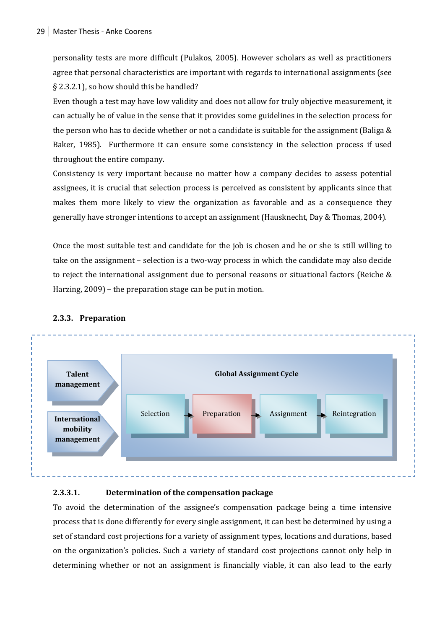personality tests are more difficult (Pulakos, 2005). However scholars as well as practitioners agree that personal characteristics are important with regards to international assignments (see § 2.3.2.1), so how should this be handled?

Even though a test may have low validity and does not allow for truly objective measurement, it can actually be of value in the sense that it provides some guidelines in the selection process for the person who has to decide whether or not a candidate is suitable for the assignment (Baliga & Baker, 1985). Furthermore it can ensure some consistency in the selection process if used throughout the entire company.

Consistency is very important because no matter how a company decides to assess potential assignees, it is crucial that selection process is perceived as consistent by applicants since that makes them more likely to view the organization as favorable and as a consequence they generally have stronger intentions to accept an assignment (Hausknecht, Day & Thomas, 2004).

Once the most suitable test and candidate for the job is chosen and he or she is still willing to take on the assignment – selection is a two-way process in which the candidate may also decide to reject the international assignment due to personal reasons or situational factors (Reiche & Harzing, 2009) – the preparation stage can be put in motion.



#### **2.3.3. Preparation**

#### **2.3.3.1. Determination of the compensation package**

To avoid the determination of the assignee's compensation package being a time intensive process that is done differently for every single assignment, it can best be determined by using a set of standard cost projections for a variety of assignment types, locations and durations, based on the organization's policies. Such a variety of standard cost projections cannot only help in determining whether or not an assignment is financially viable, it can also lead to the early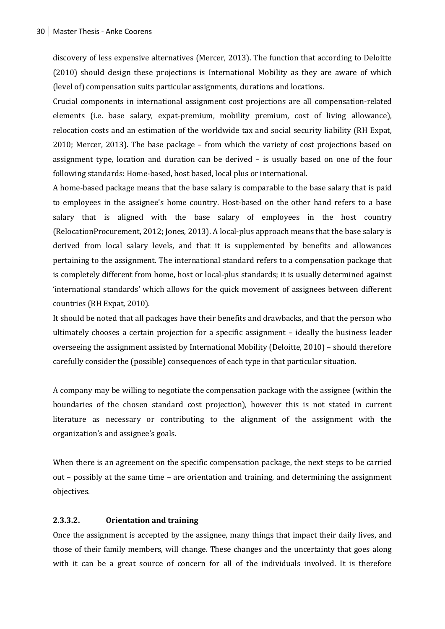discovery of less expensive alternatives (Mercer, 2013). The function that according to Deloitte (2010) should design these projections is International Mobility as they are aware of which (level of) compensation suits particular assignments, durations and locations.

Crucial components in international assignment cost projections are all compensation-related elements (i.e. base salary, expat-premium, mobility premium, cost of living allowance), relocation costs and an estimation of the worldwide tax and social security liability (RH Expat, 2010; Mercer, 2013). The base package – from which the variety of cost projections based on assignment type, location and duration can be derived – is usually based on one of the four following standards: Home-based, host based, local plus or international.

A home-based package means that the base salary is comparable to the base salary that is paid to employees in the assignee's home country. Host-based on the other hand refers to a base salary that is aligned with the base salary of employees in the host country (RelocationProcurement, 2012; Jones, 2013). A local-plus approach means that the base salary is derived from local salary levels, and that it is supplemented by benefits and allowances pertaining to the assignment. The international standard refers to a compensation package that is completely different from home, host or local-plus standards; it is usually determined against 'international standards' which allows for the quick movement of assignees between different countries (RH Expat, 2010).

It should be noted that all packages have their benefits and drawbacks, and that the person who ultimately chooses a certain projection for a specific assignment – ideally the business leader overseeing the assignment assisted by International Mobility (Deloitte, 2010) – should therefore carefully consider the (possible) consequences of each type in that particular situation.

A company may be willing to negotiate the compensation package with the assignee (within the boundaries of the chosen standard cost projection), however this is not stated in current literature as necessary or contributing to the alignment of the assignment with the organization's and assignee's goals.

When there is an agreement on the specific compensation package, the next steps to be carried out – possibly at the same time – are orientation and training, and determining the assignment objectives.

#### **2.3.3.2. Orientation and training**

Once the assignment is accepted by the assignee, many things that impact their daily lives, and those of their family members, will change. These changes and the uncertainty that goes along with it can be a great source of concern for all of the individuals involved. It is therefore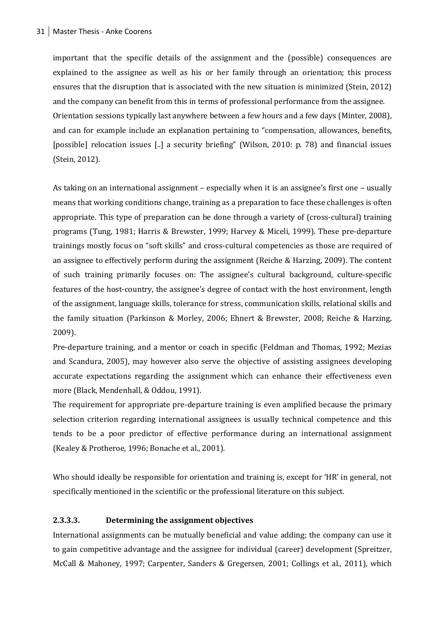important that the specific details of the assignment and the (possible) consequences are explained to the assignee as well as his or her family through an orientation; this process ensures that the disruption that is associated with the new situation is minimized (Stein, 2012) and the company can benefit from this in terms of professional performance from the assignee. Orientation sessions typically last anywhere between a few hours and a few days (Minter, 2008), and can for example include an explanation pertaining to "compensation, allowances, benefits, [possible] relocation issues [..] a security briefing" (Wilson, 2010: p. 78) and financial issues (Stein, 2012).

As taking on an international assignment – especially when it is an assignee's first one – usually means that working conditions change, training as a preparation to face these challenges is often appropriate. This type of preparation can be done through a variety of (cross-cultural) training programs (Tung, 1981; Harris & Brewster, 1999; Harvey & Miceli, 1999). These pre-departure trainings mostly focus on "soft skills" and cross-cultural competencies as those are required of an assignee to effectively perform during the assignment (Reiche & Harzing, 2009). The content of such training primarily focuses on: The assignee's cultural background, culture-specific features of the host-country, the assignee's degree of contact with the host environment, length of the assignment, language skills, tolerance for stress, communication skills, relational skills and the family situation (Parkinson & Morley, 2006; Ehnert & Brewster, 2008; Reiche & Harzing, 2009).

Pre-departure training, and a mentor or coach in specific (Feldman and Thomas, 1992; Mezias and Scandura, 2005), may however also serve the objective of assisting assignees developing accurate expectations regarding the assignment which can enhance their effectiveness even more (Black, Mendenhall, & Oddou, 1991).

The requirement for appropriate pre-departure training is even amplified because the primary selection criterion regarding international assignees is usually technical competence and this tends to be a poor predictor of effective performance during an international assignment (Kealey & Protheroe, 1996; Bonache et al., 2001).

Who should ideally be responsible for orientation and training is, except for 'HR' in general, not specifically mentioned in the scientific or the professional literature on this subject.

#### **2.3.3.3. Determining the assignment objectives**

International assignments can be mutually beneficial and value adding; the company can use it to gain competitive advantage and the assignee for individual (career) development (Spreitzer, McCall & Mahoney, 1997; Carpenter, Sanders & Gregersen, 2001; Collings et al., 2011), which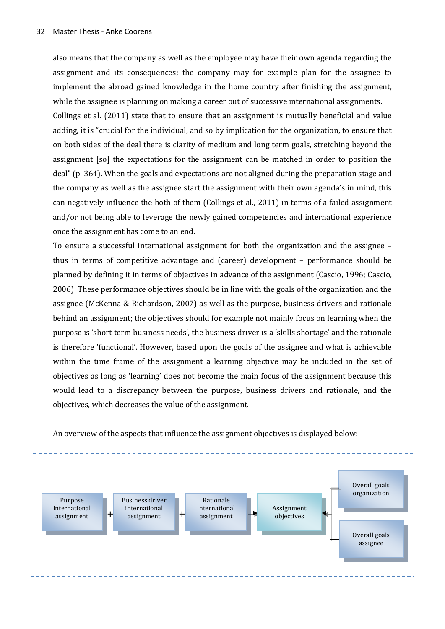also means that the company as well as the employee may have their own agenda regarding the assignment and its consequences; the company may for example plan for the assignee to implement the abroad gained knowledge in the home country after finishing the assignment, while the assignee is planning on making a career out of successive international assignments.

Collings et al. (2011) state that to ensure that an assignment is mutually beneficial and value adding, it is "crucial for the individual, and so by implication for the organization, to ensure that on both sides of the deal there is clarity of medium and long term goals, stretching beyond the assignment [so] the expectations for the assignment can be matched in order to position the deal" (p. 364). When the goals and expectations are not aligned during the preparation stage and the company as well as the assignee start the assignment with their own agenda's in mind, this can negatively influence the both of them (Collings et al., 2011) in terms of a failed assignment and/or not being able to leverage the newly gained competencies and international experience once the assignment has come to an end.

To ensure a successful international assignment for both the organization and the assignee – thus in terms of competitive advantage and (career) development – performance should be planned by defining it in terms of objectives in advance of the assignment (Cascio, 1996; Cascio, 2006). These performance objectives should be in line with the goals of the organization and the assignee (McKenna & Richardson, 2007) as well as the purpose, business drivers and rationale behind an assignment; the objectives should for example not mainly focus on learning when the purpose is 'short term business needs', the business driver is a 'skills shortage' and the rationale is therefore 'functional'. However, based upon the goals of the assignee and what is achievable within the time frame of the assignment a learning objective may be included in the set of objectives as long as 'learning' does not become the main focus of the assignment because this would lead to a discrepancy between the purpose, business drivers and rationale, and the objectives, which decreases the value of the assignment.



An overview of the aspects that influence the assignment objectives is displayed below: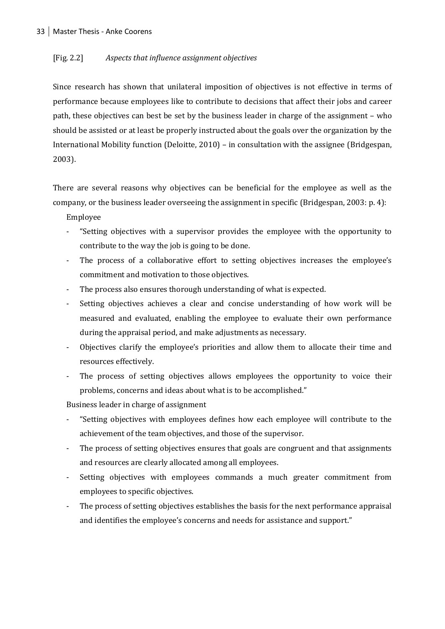#### [Fig. 2.2] *Aspects that influence assignment objectives*

Since research has shown that unilateral imposition of objectives is not effective in terms of performance because employees like to contribute to decisions that affect their jobs and career path, these objectives can best be set by the business leader in charge of the assignment – who should be assisted or at least be properly instructed about the goals over the organization by the International Mobility function (Deloitte, 2010) – in consultation with the assignee (Bridgespan, 2003).

There are several reasons why objectives can be beneficial for the employee as well as the company, or the business leader overseeing the assignment in specific (Bridgespan, 2003: p. 4):

Employee

- "Setting objectives with a supervisor provides the employee with the opportunity to contribute to the way the job is going to be done.
- The process of a collaborative effort to setting objectives increases the employee's commitment and motivation to those objectives.
- The process also ensures thorough understanding of what is expected.
- Setting objectives achieves a clear and concise understanding of how work will be measured and evaluated, enabling the employee to evaluate their own performance during the appraisal period, and make adjustments as necessary.
- Objectives clarify the employee's priorities and allow them to allocate their time and resources effectively.
- The process of setting objectives allows employees the opportunity to voice their problems, concerns and ideas about what is to be accomplished."

Business leader in charge of assignment

- "Setting objectives with employees defines how each employee will contribute to the achievement of the team objectives, and those of the supervisor.
- The process of setting objectives ensures that goals are congruent and that assignments and resources are clearly allocated among all employees.
- Setting objectives with employees commands a much greater commitment from employees to specific objectives.
- The process of setting objectives establishes the basis for the next performance appraisal and identifies the employee's concerns and needs for assistance and support."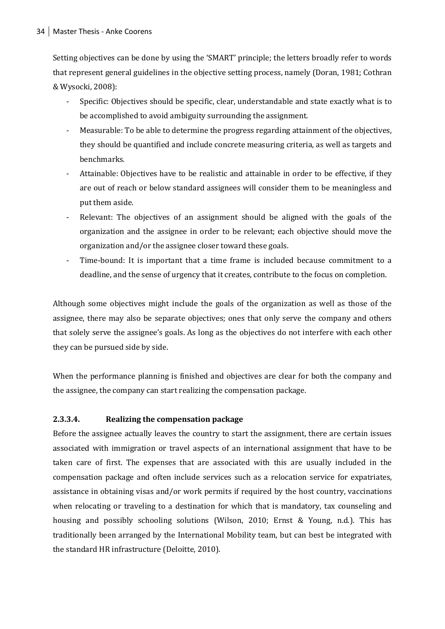Setting objectives can be done by using the 'SMART' principle; the letters broadly refer to words that represent general guidelines in the objective setting process, namely (Doran, 1981; Cothran & Wysocki, 2008):

- Specific: Objectives should be specific, clear, understandable and state exactly what is to be accomplished to avoid ambiguity surrounding the assignment.
- Measurable: To be able to determine the progress regarding attainment of the objectives, they should be quantified and include concrete measuring criteria, as well as targets and benchmarks.
- Attainable: Objectives have to be realistic and attainable in order to be effective, if they are out of reach or below standard assignees will consider them to be meaningless and put them aside.
- Relevant: The objectives of an assignment should be aligned with the goals of the organization and the assignee in order to be relevant; each objective should move the organization and/or the assignee closer toward these goals.
- Time-bound: It is important that a time frame is included because commitment to a deadline, and the sense of urgency that it creates, contribute to the focus on completion.

Although some objectives might include the goals of the organization as well as those of the assignee, there may also be separate objectives; ones that only serve the company and others that solely serve the assignee's goals. As long as the objectives do not interfere with each other they can be pursued side by side.

When the performance planning is finished and objectives are clear for both the company and the assignee, the company can start realizing the compensation package.

#### **2.3.3.4. Realizing the compensation package**

Before the assignee actually leaves the country to start the assignment, there are certain issues associated with immigration or travel aspects of an international assignment that have to be taken care of first. The expenses that are associated with this are usually included in the compensation package and often include services such as a relocation service for expatriates, assistance in obtaining visas and/or work permits if required by the host country, vaccinations when relocating or traveling to a destination for which that is mandatory, tax counseling and housing and possibly schooling solutions (Wilson, 2010; Ernst & Young, n.d.). This has traditionally been arranged by the International Mobility team, but can best be integrated with the standard HR infrastructure (Deloitte, 2010).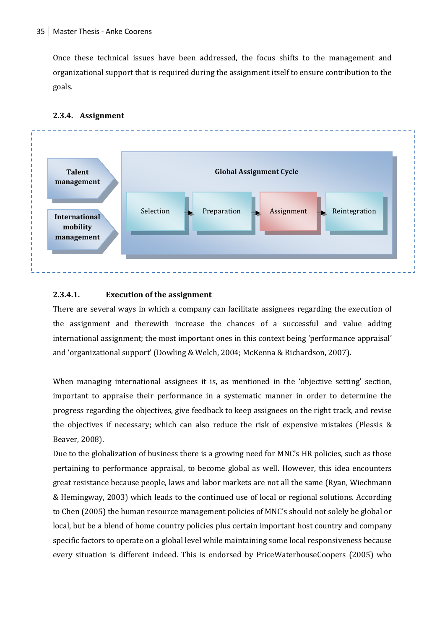Once these technical issues have been addressed, the focus shifts to the management and organizational support that is required during the assignment itself to ensure contribution to the goals.



#### **2.3.4. Assignment**

#### **2.3.4.1. Execution of the assignment**

There are several ways in which a company can facilitate assignees regarding the execution of the assignment and therewith increase the chances of a successful and value adding international assignment; the most important ones in this context being 'performance appraisal' and 'organizational support' (Dowling & Welch, 2004; McKenna & Richardson, 2007).

When managing international assignees it is, as mentioned in the 'objective setting' section, important to appraise their performance in a systematic manner in order to determine the progress regarding the objectives, give feedback to keep assignees on the right track, and revise the objectives if necessary; which can also reduce the risk of expensive mistakes (Plessis & Beaver, 2008).

Due to the globalization of business there is a growing need for MNC's HR policies, such as those pertaining to performance appraisal, to become global as well. However, this idea encounters great resistance because people, laws and labor markets are not all the same (Ryan, Wiechmann & Hemingway, 2003) which leads to the continued use of local or regional solutions. According to Chen (2005) the human resource management policies of MNC's should not solely be global or local, but be a blend of home country policies plus certain important host country and company specific factors to operate on a global level while maintaining some local responsiveness because every situation is different indeed. This is endorsed by PriceWaterhouseCoopers (2005) who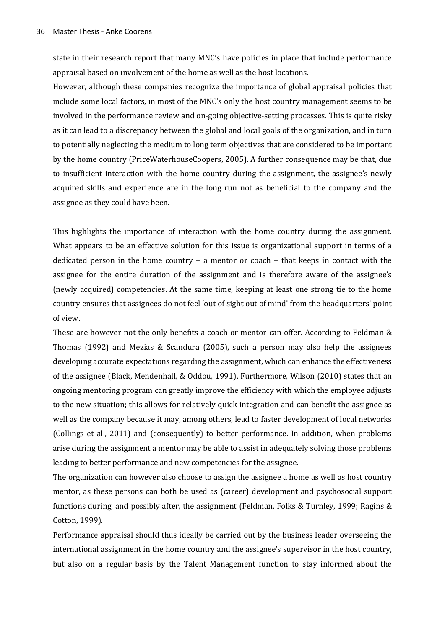state in their research report that many MNC's have policies in place that include performance appraisal based on involvement of the home as well as the host locations.

However, although these companies recognize the importance of global appraisal policies that include some local factors, in most of the MNC's only the host country management seems to be involved in the performance review and on-going objective-setting processes. This is quite risky as it can lead to a discrepancy between the global and local goals of the organization, and in turn to potentially neglecting the medium to long term objectives that are considered to be important by the home country (PriceWaterhouseCoopers, 2005). A further consequence may be that, due to insufficient interaction with the home country during the assignment, the assignee's newly acquired skills and experience are in the long run not as beneficial to the company and the assignee as they could have been.

This highlights the importance of interaction with the home country during the assignment. What appears to be an effective solution for this issue is organizational support in terms of a dedicated person in the home country – a mentor or coach – that keeps in contact with the assignee for the entire duration of the assignment and is therefore aware of the assignee's (newly acquired) competencies. At the same time, keeping at least one strong tie to the home country ensures that assignees do not feel 'out of sight out of mind' from the headquarters' point of view.

These are however not the only benefits a coach or mentor can offer. According to Feldman & Thomas (1992) and Mezias & Scandura (2005), such a person may also help the assignees developing accurate expectations regarding the assignment, which can enhance the effectiveness of the assignee (Black, Mendenhall, & Oddou, 1991). Furthermore, Wilson (2010) states that an ongoing mentoring program can greatly improve the efficiency with which the employee adjusts to the new situation; this allows for relatively quick integration and can benefit the assignee as well as the company because it may, among others, lead to faster development of local networks (Collings et al., 2011) and (consequently) to better performance. In addition, when problems arise during the assignment a mentor may be able to assist in adequately solving those problems leading to better performance and new competencies for the assignee.

The organization can however also choose to assign the assignee a home as well as host country mentor, as these persons can both be used as (career) development and psychosocial support functions during, and possibly after, the assignment (Feldman, Folks & Turnley, 1999; Ragins & Cotton, 1999).

Performance appraisal should thus ideally be carried out by the business leader overseeing the international assignment in the home country and the assignee's supervisor in the host country, but also on a regular basis by the Talent Management function to stay informed about the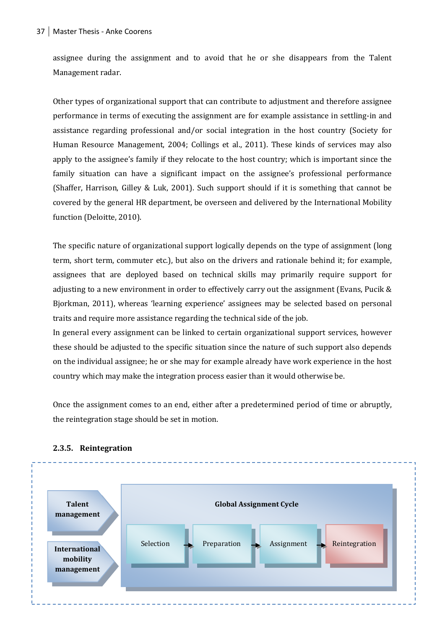assignee during the assignment and to avoid that he or she disappears from the Talent Management radar.

Other types of organizational support that can contribute to adjustment and therefore assignee performance in terms of executing the assignment are for example assistance in settling-in and assistance regarding professional and/or social integration in the host country (Society for Human Resource Management, 2004; Collings et al., 2011). These kinds of services may also apply to the assignee's family if they relocate to the host country; which is important since the family situation can have a significant impact on the assignee's professional performance (Shaffer, Harrison, Gilley & Luk, 2001). Such support should if it is something that cannot be covered by the general HR department, be overseen and delivered by the International Mobility function (Deloitte, 2010).

The specific nature of organizational support logically depends on the type of assignment (long term, short term, commuter etc.), but also on the drivers and rationale behind it; for example, assignees that are deployed based on technical skills may primarily require support for adjusting to a new environment in order to effectively carry out the assignment (Evans, Pucik & Bjorkman, 2011), whereas 'learning experience' assignees may be selected based on personal traits and require more assistance regarding the technical side of the job.

In general every assignment can be linked to certain organizational support services, however these should be adjusted to the specific situation since the nature of such support also depends on the individual assignee; he or she may for example already have work experience in the host country which may make the integration process easier than it would otherwise be.

Once the assignment comes to an end, either after a predetermined period of time or abruptly, the reintegration stage should be set in motion.



#### **2.3.5. Reintegration**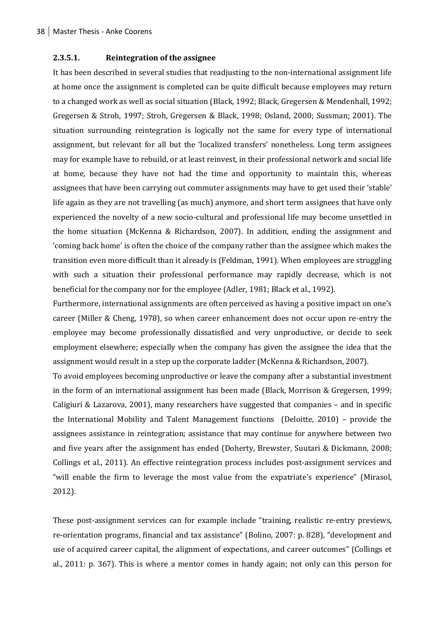#### **2.3.5.1. Reintegration of the assignee**

It has been described in several studies that readjusting to the non-international assignment life at home once the assignment is completed can be quite difficult because employees may return to a changed work as well as social situation (Black, 1992; Black, Gregersen & Mendenhall, 1992; Gregersen & Stroh, 1997; Stroh, Gregersen & Black, 1998; Osland, 2000; Sussman; 2001). The situation surrounding reintegration is logically not the same for every type of international assignment, but relevant for all but the 'localized transfers' nonetheless. Long term assignees may for example have to rebuild, or at least reinvest, in their professional network and social life at home, because they have not had the time and opportunity to maintain this, whereas assignees that have been carrying out commuter assignments may have to get used their 'stable' life again as they are not travelling (as much) anymore, and short term assignees that have only experienced the novelty of a new socio-cultural and professional life may become unsettled in the home situation (McKenna & Richardson, 2007). In addition, ending the assignment and 'coming back home' is often the choice of the company rather than the assignee which makes the transition even more difficult than it already is (Feldman, 1991). When employees are struggling with such a situation their professional performance may rapidly decrease, which is not beneficial for the company nor for the employee (Adler, 1981; Black et al., 1992).

Furthermore, international assignments are often perceived as having a positive impact on one's career (Miller & Cheng, 1978), so when career enhancement does not occur upon re-entry the employee may become professionally dissatisfied and very unproductive, or decide to seek employment elsewhere; especially when the company has given the assignee the idea that the assignment would result in a step up the corporate ladder (McKenna & Richardson, 2007).

To avoid employees becoming unproductive or leave the company after a substantial investment in the form of an international assignment has been made (Black, Morrison & Gregersen, 1999; Caligiuri & Lazarova, 2001), many researchers have suggested that companies – and in specific the International Mobility and Talent Management functions (Deloitte, 2010) – provide the assignees assistance in reintegration; assistance that may continue for anywhere between two and five years after the assignment has ended (Doherty, Brewster, Suutari & Dickmann, 2008; Collings et al., 2011). An effective reintegration process includes post-assignment services and "will enable the firm to leverage the most value from the expatriate's experience" (Mirasol, 2012).

These post-assignment services can for example include "training, realistic re-entry previews, re-orientation programs, financial and tax assistance" (Bolino, 2007: p. 828), "development and use of acquired career capital, the alignment of expectations, and career outcomes" (Collings et al., 2011: p. 367). This is where a mentor comes in handy again; not only can this person for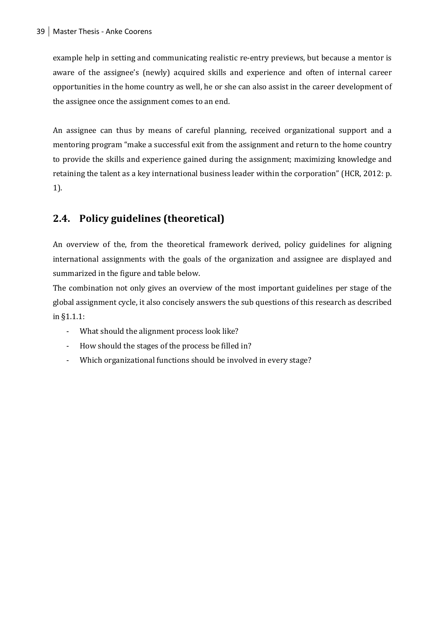example help in setting and communicating realistic re-entry previews, but because a mentor is aware of the assignee's (newly) acquired skills and experience and often of internal career opportunities in the home country as well, he or she can also assist in the career development of the assignee once the assignment comes to an end.

An assignee can thus by means of careful planning, received organizational support and a mentoring program "make a successful exit from the assignment and return to the home country to provide the skills and experience gained during the assignment; maximizing knowledge and retaining the talent as a key international business leader within the corporation" (HCR, 2012: p. 1).

#### **2.4. Policy guidelines (theoretical)**

An overview of the, from the theoretical framework derived, policy guidelines for aligning international assignments with the goals of the organization and assignee are displayed and summarized in the figure and table below.

The combination not only gives an overview of the most important guidelines per stage of the global assignment cycle, it also concisely answers the sub questions of this research as described in §1.1.1:

- What should the alignment process look like?
- How should the stages of the process be filled in?
- Which organizational functions should be involved in every stage?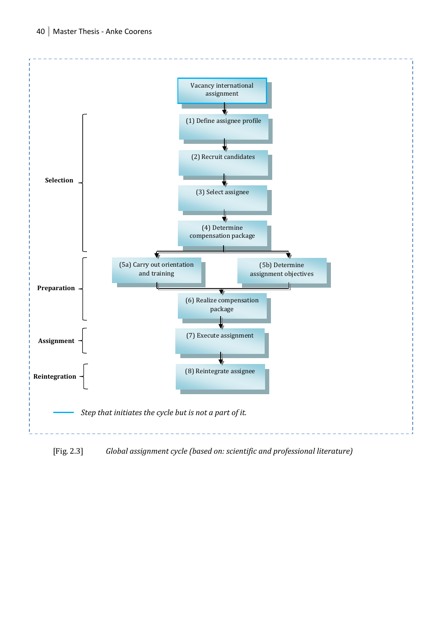

[Fig. 2.3] *Global assignment cycle (based on: scientific and professional literature)*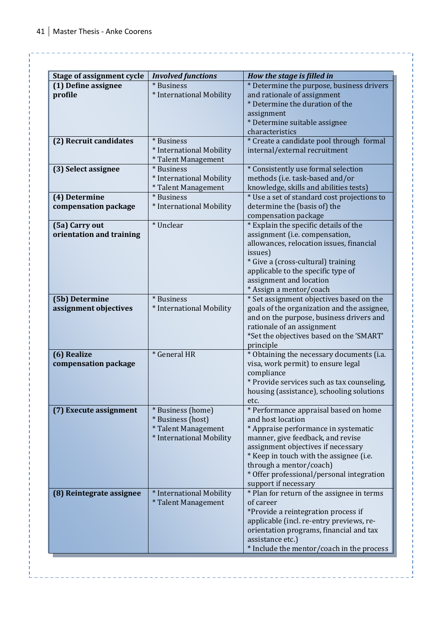<u>e e e e e e e e</u>

| <b>Stage of assignment cycle</b> | <b>Involved functions</b> | How the stage is filled in                                  |
|----------------------------------|---------------------------|-------------------------------------------------------------|
| (1) Define assignee              | * Business                | * Determine the purpose, business drivers                   |
| profile                          | * International Mobility  | and rationale of assignment                                 |
|                                  |                           | * Determine the duration of the                             |
|                                  |                           | assignment                                                  |
|                                  |                           | * Determine suitable assignee                               |
|                                  |                           | characteristics                                             |
| (2) Recruit candidates           | * Business                | * Create a candidate pool through formal                    |
|                                  | * International Mobility  | internal/external recruitment                               |
|                                  | * Talent Management       |                                                             |
| (3) Select assignee              | * Business                | * Consistently use formal selection                         |
|                                  | * International Mobility  | methods (i.e. task-based and/or                             |
|                                  | * Talent Management       | knowledge, skills and abilities tests)                      |
| (4) Determine                    | * Business                | * Use a set of standard cost projections to                 |
| compensation package             | * International Mobility  | determine the (basis of) the                                |
|                                  |                           | compensation package                                        |
| (5a) Carry out                   | * Unclear                 | * Explain the specific details of the                       |
| orientation and training         |                           | assignment (i.e. compensation,                              |
|                                  |                           | allowances, relocation issues, financial                    |
|                                  |                           | issues)<br>* Give a (cross-cultural) training               |
|                                  |                           | applicable to the specific type of                          |
|                                  |                           | assignment and location                                     |
|                                  |                           | * Assign a mentor/coach                                     |
| (5b) Determine                   | * Business                | * Set assignment objectives based on the                    |
| assignment objectives            | * International Mobility  | goals of the organization and the assignee,                 |
|                                  |                           | and on the purpose, business drivers and                    |
|                                  |                           | rationale of an assignment                                  |
|                                  |                           | *Set the objectives based on the 'SMART'                    |
|                                  |                           | principle                                                   |
| (6) Realize                      | * General HR              | * Obtaining the necessary documents (i.a.                   |
| compensation package             |                           | visa, work permit) to ensure legal                          |
|                                  |                           | compliance                                                  |
|                                  |                           | * Provide services such as tax counseling,                  |
|                                  |                           | housing (assistance), schooling solutions                   |
|                                  |                           | etc.                                                        |
| (7) Execute assignment           | * Business (home)         | * Performance appraisal based on home                       |
|                                  | * Business (host)         | and host location                                           |
|                                  | * Talent Management       | * Appraise performance in systematic                        |
|                                  | * International Mobility  | manner, give feedback, and revise                           |
|                                  |                           | assignment objectives if necessary                          |
|                                  |                           | * Keep in touch with the assignee (i.e.                     |
|                                  |                           | through a mentor/coach)                                     |
|                                  |                           | * Offer professional/personal integration                   |
|                                  |                           | support if necessary                                        |
| (8) Reintegrate assignee         | * International Mobility  | * Plan for return of the assignee in terms                  |
|                                  | * Talent Management       | of career                                                   |
|                                  |                           | *Provide a reintegration process if                         |
|                                  |                           | applicable (incl. re-entry previews, re-                    |
|                                  |                           | orientation programs, financial and tax<br>assistance etc.) |
|                                  |                           |                                                             |
|                                  |                           | * Include the mentor/coach in the process                   |

<u> Antonio de la caractería de la </u>

<u>. . . . . . . . . . . . . .</u>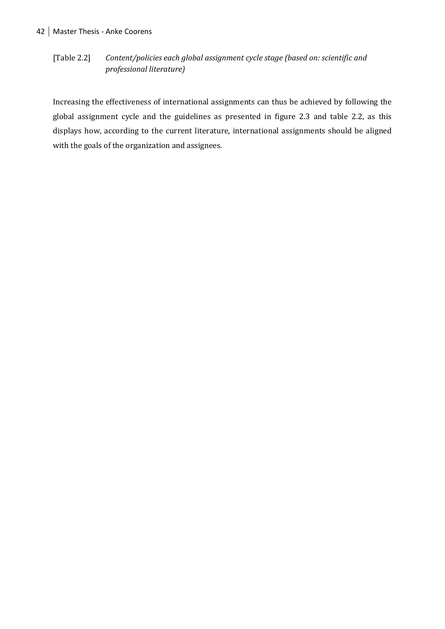#### [Table 2.2] *Content/policies each global assignment cycle stage (based on: scientific and professional literature)*

Increasing the effectiveness of international assignments can thus be achieved by following the global assignment cycle and the guidelines as presented in figure 2.3 and table 2.2, as this displays how, according to the current literature, international assignments should be aligned with the goals of the organization and assignees.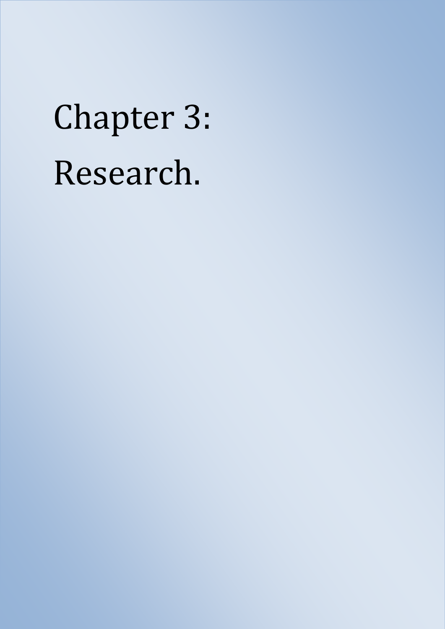# Chapter 3: Research.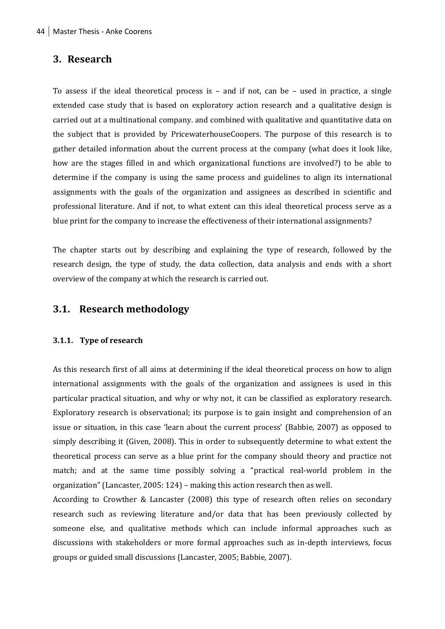#### **3. Research**

To assess if the ideal theoretical process is – and if not, can be – used in practice, a single extended case study that is based on exploratory action research and a qualitative design is carried out at a multinational company. and combined with qualitative and quantitative data on the subject that is provided by PricewaterhouseCoopers. The purpose of this research is to gather detailed information about the current process at the company (what does it look like, how are the stages filled in and which organizational functions are involved?) to be able to determine if the company is using the same process and guidelines to align its international assignments with the goals of the organization and assignees as described in scientific and professional literature. And if not, to what extent can this ideal theoretical process serve as a blue print for the company to increase the effectiveness of their international assignments?

The chapter starts out by describing and explaining the type of research, followed by the research design, the type of study, the data collection, data analysis and ends with a short overview of the company at which the research is carried out.

#### **3.1. Research methodology**

#### **3.1.1. Type of research**

As this research first of all aims at determining if the ideal theoretical process on how to align international assignments with the goals of the organization and assignees is used in this particular practical situation, and why or why not, it can be classified as exploratory research. Exploratory research is observational; its purpose is to gain insight and comprehension of an issue or situation, in this case 'learn about the current process' (Babbie, 2007) as opposed to simply describing it (Given, 2008). This in order to subsequently determine to what extent the theoretical process can serve as a blue print for the company should theory and practice not match; and at the same time possibly solving a "practical real-world problem in the organization" (Lancaster, 2005: 124) – making this action research then as well.

According to Crowther & Lancaster (2008) this type of research often relies on secondary research such as reviewing literature and/or data that has been previously collected by someone else, and qualitative methods which can include informal approaches such as discussions with stakeholders or more formal approaches such as in-depth interviews, focus groups or guided small discussions (Lancaster, 2005; Babbie, 2007).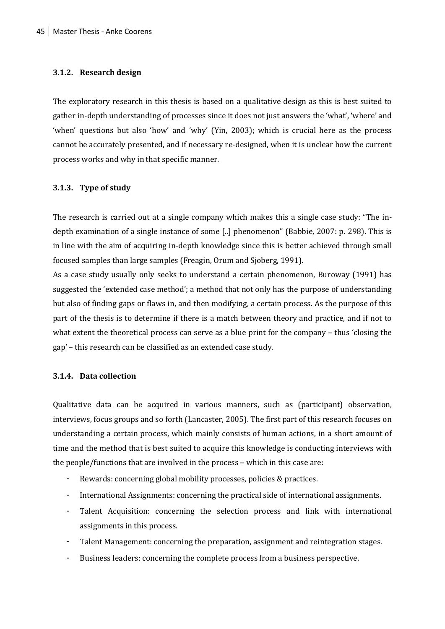#### **3.1.2. Research design**

The exploratory research in this thesis is based on a qualitative design as this is best suited to gather in-depth understanding of processes since it does not just answers the 'what', 'where' and 'when' questions but also 'how' and 'why' (Yin, 2003); which is crucial here as the process cannot be accurately presented, and if necessary re-designed, when it is unclear how the current process works and why in that specific manner.

#### **3.1.3. Type of study**

The research is carried out at a single company which makes this a single case study: "The indepth examination of a single instance of some [..] phenomenon" (Babbie, 2007: p. 298). This is in line with the aim of acquiring in-depth knowledge since this is better achieved through small focused samples than large samples (Freagin, Orum and Sjoberg, 1991).

As a case study usually only seeks to understand a certain phenomenon, Buroway (1991) has suggested the 'extended case method'; a method that not only has the purpose of understanding but also of finding gaps or flaws in, and then modifying, a certain process. As the purpose of this part of the thesis is to determine if there is a match between theory and practice, and if not to what extent the theoretical process can serve as a blue print for the company – thus 'closing the gap' – this research can be classified as an extended case study.

#### **3.1.4. Data collection**

Qualitative data can be acquired in various manners, such as (participant) observation, interviews, focus groups and so forth (Lancaster, 2005). The first part of this research focuses on understanding a certain process, which mainly consists of human actions, in a short amount of time and the method that is best suited to acquire this knowledge is conducting interviews with the people/functions that are involved in the process – which in this case are:

- Rewards: concerning global mobility processes, policies & practices.
- International Assignments: concerning the practical side of international assignments.
- Talent Acquisition: concerning the selection process and link with international assignments in this process.
- Talent Management: concerning the preparation, assignment and reintegration stages.
- Business leaders: concerning the complete process from a business perspective.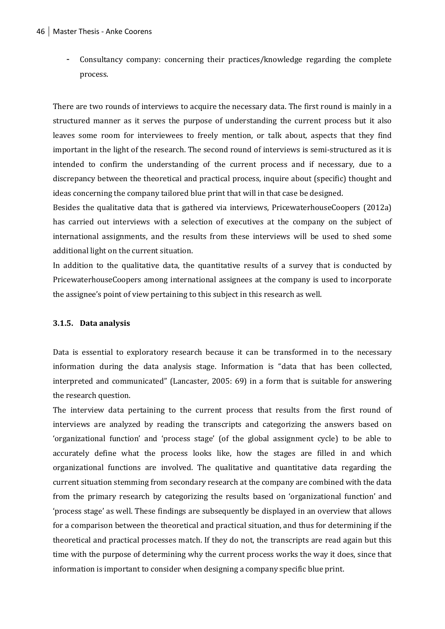- Consultancy company: concerning their practices/knowledge regarding the complete process.

There are two rounds of interviews to acquire the necessary data. The first round is mainly in a structured manner as it serves the purpose of understanding the current process but it also leaves some room for interviewees to freely mention, or talk about, aspects that they find important in the light of the research. The second round of interviews is semi-structured as it is intended to confirm the understanding of the current process and if necessary, due to a discrepancy between the theoretical and practical process, inquire about (specific) thought and ideas concerning the company tailored blue print that will in that case be designed.

Besides the qualitative data that is gathered via interviews, PricewaterhouseCoopers (2012a) has carried out interviews with a selection of executives at the company on the subject of international assignments, and the results from these interviews will be used to shed some additional light on the current situation.

In addition to the qualitative data, the quantitative results of a survey that is conducted by PricewaterhouseCoopers among international assignees at the company is used to incorporate the assignee's point of view pertaining to this subject in this research as well.

#### **3.1.5. Data analysis**

Data is essential to exploratory research because it can be transformed in to the necessary information during the data analysis stage. Information is "data that has been collected, interpreted and communicated" (Lancaster, 2005: 69) in a form that is suitable for answering the research question.

The interview data pertaining to the current process that results from the first round of interviews are analyzed by reading the transcripts and categorizing the answers based on 'organizational function' and 'process stage' (of the global assignment cycle) to be able to accurately define what the process looks like, how the stages are filled in and which organizational functions are involved. The qualitative and quantitative data regarding the current situation stemming from secondary research at the company are combined with the data from the primary research by categorizing the results based on 'organizational function' and 'process stage' as well. These findings are subsequently be displayed in an overview that allows for a comparison between the theoretical and practical situation, and thus for determining if the theoretical and practical processes match. If they do not, the transcripts are read again but this time with the purpose of determining why the current process works the way it does, since that information is important to consider when designing a company specific blue print.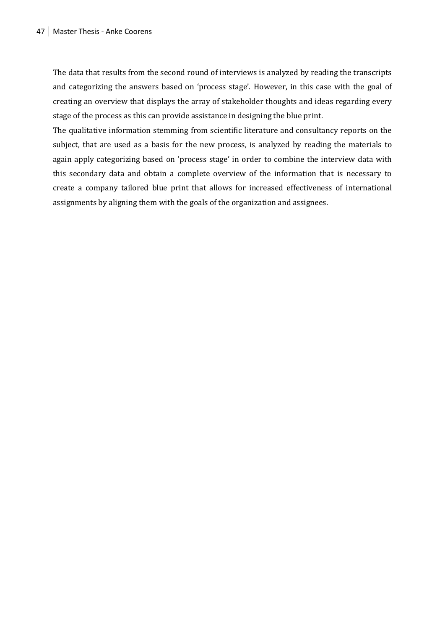The data that results from the second round of interviews is analyzed by reading the transcripts and categorizing the answers based on 'process stage'. However, in this case with the goal of creating an overview that displays the array of stakeholder thoughts and ideas regarding every stage of the process as this can provide assistance in designing the blue print.

The qualitative information stemming from scientific literature and consultancy reports on the subject, that are used as a basis for the new process, is analyzed by reading the materials to again apply categorizing based on 'process stage' in order to combine the interview data with this secondary data and obtain a complete overview of the information that is necessary to create a company tailored blue print that allows for increased effectiveness of international assignments by aligning them with the goals of the organization and assignees.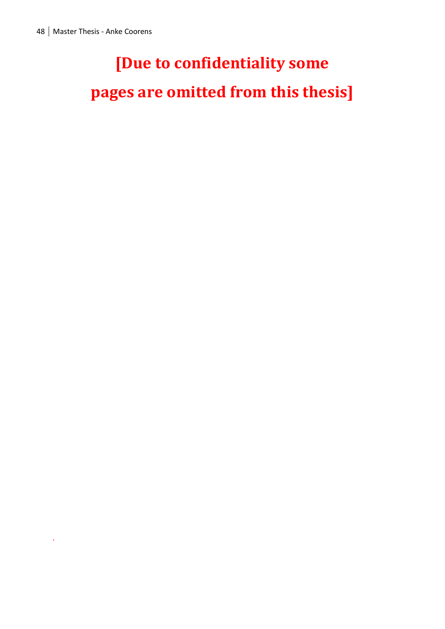.

### **[Due to confidentiality some**

**pages are omitted from this thesis]**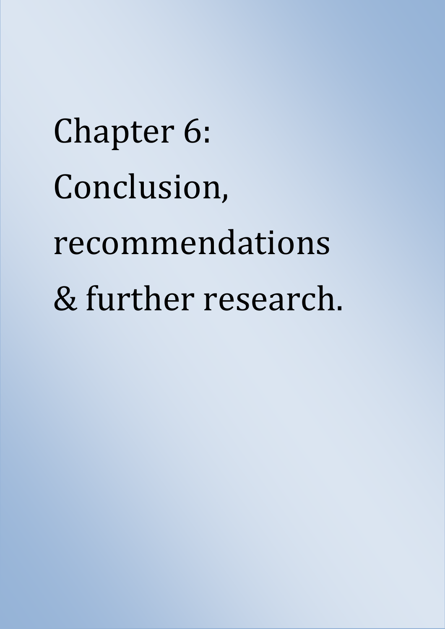# Chapter 6: Conclusion, recommendations & further research.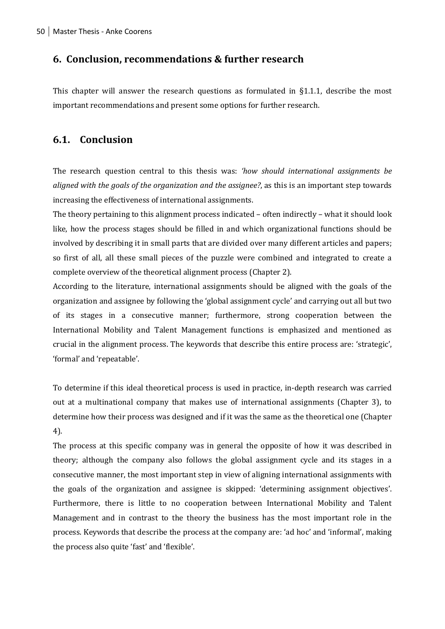#### **6. Conclusion, recommendations & further research**

This chapter will answer the research questions as formulated in §1.1.1, describe the most important recommendations and present some options for further research.

#### **6.1. Conclusion**

The research question central to this thesis was: *'how should international assignments be aligned with the goals of the organization and the assignee?*, as this is an important step towards increasing the effectiveness of international assignments.

The theory pertaining to this alignment process indicated – often indirectly – what it should look like, how the process stages should be filled in and which organizational functions should be involved by describing it in small parts that are divided over many different articles and papers; so first of all, all these small pieces of the puzzle were combined and integrated to create a complete overview of the theoretical alignment process (Chapter 2).

According to the literature, international assignments should be aligned with the goals of the organization and assignee by following the 'global assignment cycle' and carrying out all but two of its stages in a consecutive manner; furthermore, strong cooperation between the International Mobility and Talent Management functions is emphasized and mentioned as crucial in the alignment process. The keywords that describe this entire process are: 'strategic', 'formal' and 'repeatable'.

To determine if this ideal theoretical process is used in practice, in-depth research was carried out at a multinational company that makes use of international assignments (Chapter 3), to determine how their process was designed and if it was the same as the theoretical one (Chapter 4).

The process at this specific company was in general the opposite of how it was described in theory; although the company also follows the global assignment cycle and its stages in a consecutive manner, the most important step in view of aligning international assignments with the goals of the organization and assignee is skipped: 'determining assignment objectives'. Furthermore, there is little to no cooperation between International Mobility and Talent Management and in contrast to the theory the business has the most important role in the process. Keywords that describe the process at the company are: 'ad hoc' and 'informal', making the process also quite 'fast' and 'flexible'.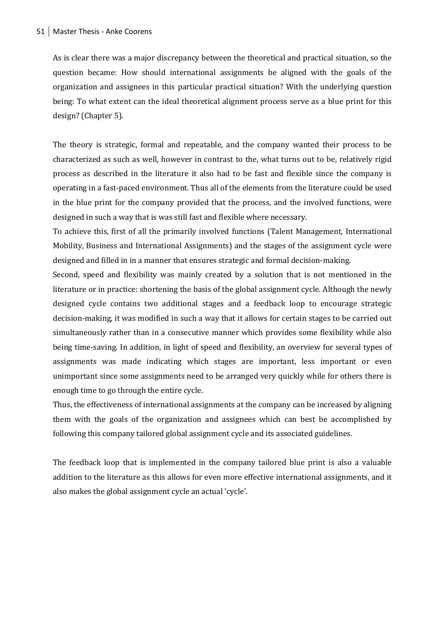As is clear there was a major discrepancy between the theoretical and practical situation, so the question became: How should international assignments be aligned with the goals of the organization and assignees in this particular practical situation? With the underlying question being: To what extent can the ideal theoretical alignment process serve as a blue print for this design? (Chapter 5).

The theory is strategic, formal and repeatable, and the company wanted their process to be characterized as such as well, however in contrast to the, what turns out to be, relatively rigid process as described in the literature it also had to be fast and flexible since the company is operating in a fast-paced environment. Thus all of the elements from the literature could be used in the blue print for the company provided that the process, and the involved functions, were designed in such a way that is was still fast and flexible where necessary.

To achieve this, first of all the primarily involved functions (Talent Management, International Mobility, Business and International Assignments) and the stages of the assignment cycle were designed and filled in in a manner that ensures strategic and formal decision-making.

Second, speed and flexibility was mainly created by a solution that is not mentioned in the literature or in practice: shortening the basis of the global assignment cycle. Although the newly designed cycle contains two additional stages and a feedback loop to encourage strategic decision-making, it was modified in such a way that it allows for certain stages to be carried out simultaneously rather than in a consecutive manner which provides some flexibility while also being time-saving. In addition, in light of speed and flexibility, an overview for several types of assignments was made indicating which stages are important, less important or even unimportant since some assignments need to be arranged very quickly while for others there is enough time to go through the entire cycle.

Thus, the effectiveness of international assignments at the company can be increased by aligning them with the goals of the organization and assignees which can best be accomplished by following this company tailored global assignment cycle and its associated guidelines.

The feedback loop that is implemented in the company tailored blue print is also a valuable addition to the literature as this allows for even more effective international assignments, and it also makes the global assignment cycle an actual 'cycle'.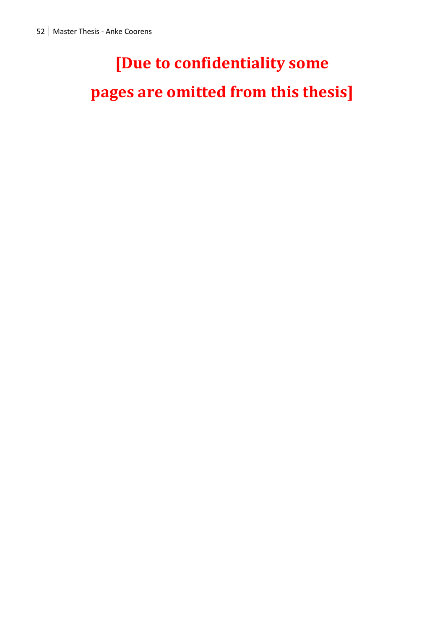### **[Due to confidentiality some**

**pages are omitted from this thesis]**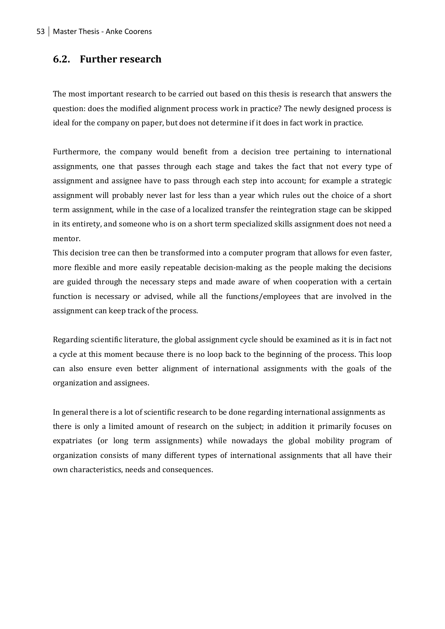#### **6.2. Further research**

The most important research to be carried out based on this thesis is research that answers the question: does the modified alignment process work in practice? The newly designed process is ideal for the company on paper, but does not determine if it does in fact work in practice.

Furthermore, the company would benefit from a decision tree pertaining to international assignments, one that passes through each stage and takes the fact that not every type of assignment and assignee have to pass through each step into account; for example a strategic assignment will probably never last for less than a year which rules out the choice of a short term assignment, while in the case of a localized transfer the reintegration stage can be skipped in its entirety, and someone who is on a short term specialized skills assignment does not need a mentor.

This decision tree can then be transformed into a computer program that allows for even faster, more flexible and more easily repeatable decision-making as the people making the decisions are guided through the necessary steps and made aware of when cooperation with a certain function is necessary or advised, while all the functions/employees that are involved in the assignment can keep track of the process.

Regarding scientific literature, the global assignment cycle should be examined as it is in fact not a cycle at this moment because there is no loop back to the beginning of the process. This loop can also ensure even better alignment of international assignments with the goals of the organization and assignees.

In general there is a lot of scientific research to be done regarding international assignments as there is only a limited amount of research on the subject; in addition it primarily focuses on expatriates (or long term assignments) while nowadays the global mobility program of organization consists of many different types of international assignments that all have their own characteristics, needs and consequences.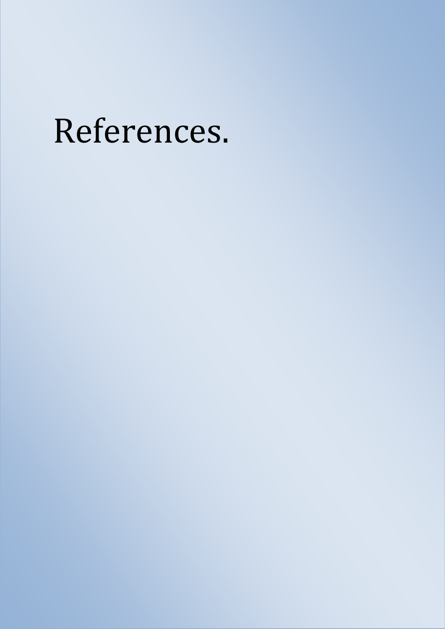## References.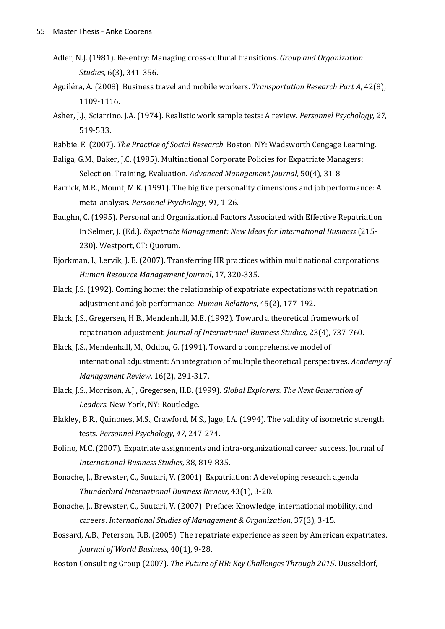- Adler, N.J. (1981). Re-entry: Managing cross-cultural transitions. *Group and Organization Studies*, 6(3), 341-356.
- Aguiléra, A. (2008). Business travel and mobile workers. *Transportation Research Part A*, 42(8), 1109-1116.
- Asher, J.J., Sciarrino. J.A. (1974). Realistic work sample tests: A review. *Personnel Psychology, 27,*  519-533.
- Babbie, E. (2007). *The Practice of Social Research*. Boston, NY: Wadsworth Cengage Learning.
- Baliga, G.M., Baker, J.C. (1985). Multinational Corporate Policies for Expatriate Managers: Selection, Training, Evaluation. *Advanced Management Journal*, 50(4), 31-8.
- Barrick, M.R., Mount, M.K. (1991). The big five personality dimensions and job performance: A meta-analysis. *Personnel Psychology, 91,* 1-26.
- Baughn, C. (1995). Personal and Organizational Factors Associated with Effective Repatriation. In Selmer, J. (Ed.). *Expatriate Management: New Ideas for International Business* (215- 230). Westport, CT: Quorum.
- Bjorkman, I., Lervik, J. E. (2007). Transferring HR practices within multinational corporations. *Human Resource Management Journal*, 17, 320-335.
- Black, J.S. (1992). Coming home: the relationship of expatriate expectations with repatriation adjustment and job performance. *Human Relations*, 45(2), 177-192.
- Black, J.S., Gregersen, H.B., Mendenhall, M.E. (1992). Toward a theoretical framework of repatriation adjustment. *Journal of International Business Studies*, 23(4), 737-760.
- Black, J.S., Mendenhall, M., Oddou, G. (1991). Toward a comprehensive model of international adjustment: An integration of multiple theoretical perspectives. *Academy of Management Review*, 16(2), 291-317.
- Black, J.S., Morrison, A.J., Gregersen, H.B. (1999). *Global Explorers. The Next Generation of Leaders.* New York, NY: Routledge.
- Blakley, B.R., Quinones, M.S., Crawford, M.S., Jago, I.A. (1994). The validity of isometric strength tests. *Personnel Psychology, 47,* 247-274.
- Bolino, M.C. (2007). Expatriate assignments and intra-organizational career success. Journal of *International Business Studies*, 38, 819-835.
- Bonache, J., Brewster, C., Suutari, V. (2001). Expatriation: A developing research agenda. *Thunderbird International Business Review*, 43(1), 3-20.
- Bonache, J., Brewster, C., Suutari, V. (2007). Preface: Knowledge, international mobility, and careers. *International Studies of Management & Organization*, 37(3), 3-15.
- Bossard, A.B., Peterson, R.B. (2005). The repatriate experience as seen by American expatriates. *Journal of World Business*, 40(1), 9-28.
- Boston Consulting Group (2007). *The Future of HR: Key Challenges Through 2015*. Dusseldorf,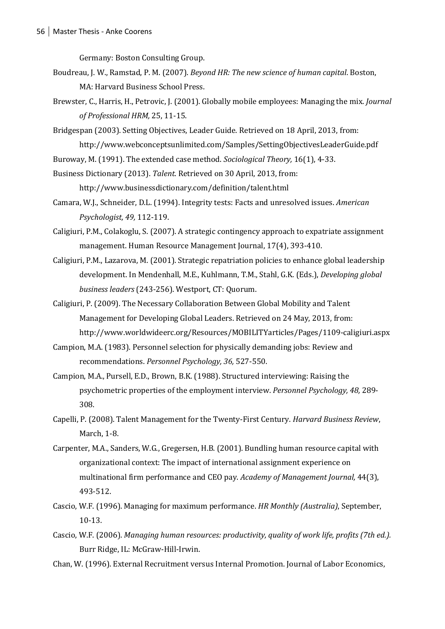Germany: Boston Consulting Group.

- Boudreau, J. W., Ramstad, P. M. (2007). *Beyond HR: The new science of human capital*. Boston, MA: Harvard Business School Press.
- Brewster, C., Harris, H., Petrovic, J. (2001). Globally mobile employees: Managing the mix. *Journal of Professional HRM,* 25, 11-15.
- Bridgespan (2003). Setting Objectives, Leader Guide. Retrieved on 18 April, 2013, from: http://www.webconceptsunlimited.com/Samples/SettingObjectivesLeaderGuide.pdf
- Buroway, M. (1991). The extended case method. *Sociological Theory,* 16(1), 4-33.
- Business Dictionary (2013). *Talent*. Retrieved on 30 April, 2013, from:

http://www.businessdictionary.com/definition/talent.html

- Camara, W.J., Schneider, D.L. (1994). Integrity tests: Facts and unresolved issues. *American Psychologist, 49,* 112-119.
- Caligiuri, P.M., Colakoglu, S. (2007). A strategic contingency approach to expatriate assignment management. Human Resource Management Journal, 17(4), 393-410.
- Caligiuri, P.M., Lazarova, M. (2001). Strategic repatriation policies to enhance global leadership development. In Mendenhall, M.E., Kuhlmann, T.M., Stahl, G.K. (Eds.), *Developing global business leaders* (243-256). Westport, CT: Quorum.
- Caligiuri, P. (2009). The Necessary Collaboration Between Global Mobility and Talent Management for Developing Global Leaders. Retrieved on 24 May, 2013, from: http://www.worldwideerc.org/Resources/MOBILITYarticles/Pages/1109-caligiuri.aspx
- Campion, M.A. (1983). Personnel selection for physically demanding jobs: Review and recommendations. *Personnel Psychology, 36,* 527-550.
- Campion, M.A., Pursell, E.D., Brown, B.K. (1988). Structured interviewing: Raising the psychometric properties of the employment interview. *Personnel Psychology, 48,* 289- 308.
- Capelli, P. (2008). Talent Management for the Twenty-First Century. *Harvard Business Review*, March, 1-8.
- Carpenter, M.A., Sanders, W.G., Gregersen, H.B. (2001). Bundling human resource capital with organizational context: The impact of international assignment experience on multinational firm performance and CEO pay. *Academy of Management Journal,* 44(3), 493-512.
- Cascio, W.F. (1996). Managing for maximum performance. *HR Monthly (Australia)*, September, 10-13.
- Cascio, W.F. (2006). *Managing human resources: productivity, quality of work life, profits (7th ed.).* Burr Ridge, IL: McGraw-Hill-Irwin.
- Chan, W. (1996). External Recruitment versus Internal Promotion. Journal of Labor Economics,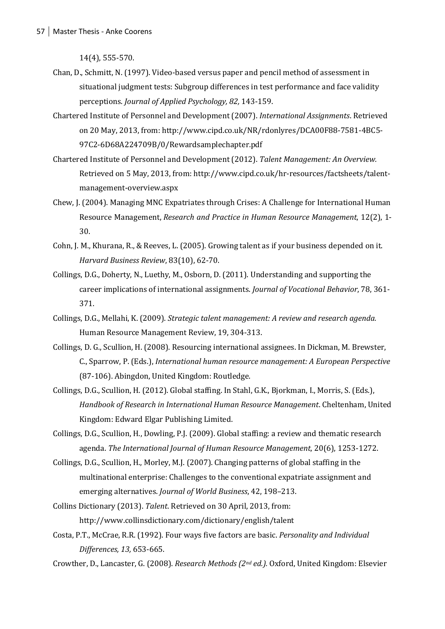14(4), 555-570.

- Chan, D., Schmitt, N. (1997). Video-based versus paper and pencil method of assessment in situational judgment tests: Subgroup differences in test performance and face validity perceptions. *Journal of Applied Psychology, 82,* 143-159.
- Chartered Institute of Personnel and Development (2007). *International Assignments*. Retrieved on 20 May, 2013, from: http://www.cipd.co.uk/NR/rdonlyres/DCA00F88-7581-4BC5- 97C2-6D68A224709B/0/Rewardsamplechapter.pdf
- Chartered Institute of Personnel and Development (2012). *Talent Management: An Overview.* Retrieved on 5 May, 2013, from: http://www.cipd.co.uk/hr-resources/factsheets/talentmanagement-overview.aspx
- Chew, J. (2004). Managing MNC Expatriates through Crises: A Challenge for International Human Resource Management, *Research and Practice in Human Resource Management*, 12(2), 1- 30.
- Cohn, J. M., Khurana, R., & Reeves, L. (2005). Growing talent as if your business depended on it. *Harvard Business Review*, 83(10), 62-70.
- Collings, D.G., Doherty, N., Luethy, M., Osborn, D. (2011). Understanding and supporting the career implications of international assignments. *Journal of Vocational Behavior*, 78, 361- 371.
- Collings, D.G., Mellahi, K. (2009). *Strategic talent management: A review and research agenda.* Human Resource Management Review, 19, 304-313.
- Collings, D. G., Scullion, H. (2008). Resourcing international assignees. In Dickman, M. Brewster, C., Sparrow, P. (Eds.), *International human resource management: A European Perspective* (87-106). Abingdon, United Kingdom: Routledge.
- Collings, D.G., Scullion, H. (2012). Global staffing. In Stahl, G.K., Bjorkman, I., Morris, S. (Eds.), *Handbook of Research in International Human Resource Management*. Cheltenham, United Kingdom: Edward Elgar Publishing Limited.
- Collings, D.G., Scullion, H., Dowling, P.J. (2009). Global staffing: a review and thematic research agenda. *The International Journal of Human Resource Management*, 20(6), 1253-1272.
- Collings, D.G., Scullion, H., Morley, M.J. (2007). Changing patterns of global staffing in the multinational enterprise: Challenges to the conventional expatriate assignment and emerging alternatives. *Journal of World Business*, 42, 198–213.
- Collins Dictionary (2013). *Talent*. Retrieved on 30 April, 2013, from: http://www.collinsdictionary.com/dictionary/english/talent
- Costa, P.T., McCrae, R.R. (1992). Four ways five factors are basic. *Personality and Individual Differences, 13,* 653-665.
- Crowther, D., Lancaster, G. (2008). *Research Methods (2nd ed.).* Oxford, United Kingdom: Elsevier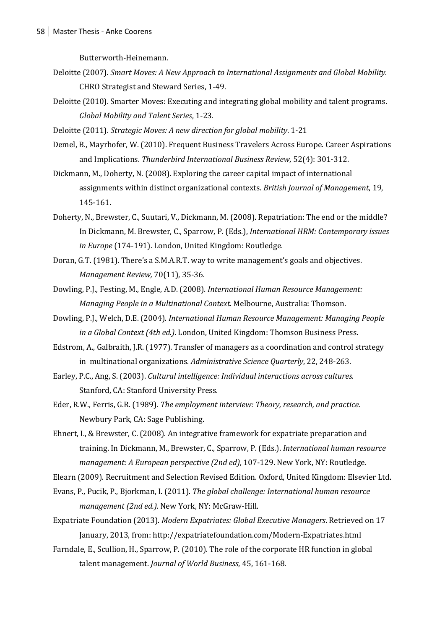Butterworth-Heinemann.

- Deloitte (2007)*. Smart Moves: A New Approach to International Assignments and Global Mobility.*  CHRO Strategist and Steward Series, 1-49.
- Deloitte (2010). Smarter Moves: Executing and integrating global mobility and talent programs. *Global Mobility and Talent Series*, 1-23.
- Deloitte (2011). *Strategic Moves: A new direction for global mobility*. 1-21
- Demel, B., Mayrhofer, W. (2010). Frequent Business Travelers Across Europe. Career Aspirations and Implications. *Thunderbird International Business Review*, 52(4): 301-312.
- Dickmann, M., Doherty, N. (2008). Exploring the career capital impact of international assignments within distinct organizational contexts. *British Journal of Management*, 19, 145-161.
- Doherty, N., Brewster, C., Suutari, V., Dickmann, M. (2008). Repatriation: The end or the middle? In Dickmann, M. Brewster, C., Sparrow, P. (Eds.), *International HRM: Contemporary issues in Europe* (174-191). London, United Kingdom: Routledge.
- Doran, G.T. (1981). There's a S.M.A.R.T. way to write management's goals and objectives. *Management Review,* 70(11), 35-36.
- [Dowling,](http://www.google.nl/search?hl=nl&tbo=p&tbm=bks&q=inauthor:%22Peter+J.+Dowling%22) P.J.[, Festing,](http://www.google.nl/search?hl=nl&tbo=p&tbm=bks&q=inauthor:%22Marion+Festing%22) M.[, Engle, A.D.](http://www.google.nl/search?hl=nl&tbo=p&tbm=bks&q=inauthor:%22Allen+D.+Engle+(Sr)%22) (2008)*. International Human Resource Management: Managing People in a Multinational Context.* Melbourne, Australia: Thomson.
- Dowling, P.J., Welch, D.E. (2004). *International Human Resource Management: Managing People in a Global Context (4th ed.)*. London, United Kingdom: Thomson Business Press.
- Edstrom, A., Galbraith, J.R. (1977). Transfer of managers as a coordination and control strategy in multinational organizations. *Administrative Science Quarterly*, 22, 248-263.
- Earley, P.C., Ang, S. (2003). *Cultural intelligence: Individual interactions across cultures*. Stanford, CA: Stanford University Press.
- Eder, R.W., Ferris, G.R. (1989). *The employment interview: Theory, research, and practice.*  Newbury Park, CA: Sage Publishing.
- Ehnert, I., & Brewster, C. (2008). An integrative framework for expatriate preparation and training. In Dickmann, M., Brewster, C., Sparrow, P. (Eds.). *International human resource management: A European perspective (2nd ed)*, 107-129. New York, NY: Routledge.

Elearn (2009)[. Recruitment and Selection Revised Edition.](http://www.sciencedirect.com/science/book/9780080557434) Oxford, United Kingdom: Elsevier Ltd.

- Evans, P., Pucik, P., Bjorkman, I. (2011). *The global challenge: International human resource management (2nd ed.).* New York, NY: McGraw-Hill.
- Expatriate Foundation (2013). *Modern Expatriates: Global Executive Managers*. Retrieved on 17 January, 2013, from: http://expatriatefoundation.com/Modern-Expatriates.html
- Farndale, E., Scullion, H., Sparrow, P. (2010). The role of the corporate HR function in global talent management. *Journal of World Business*, 45, 161-168.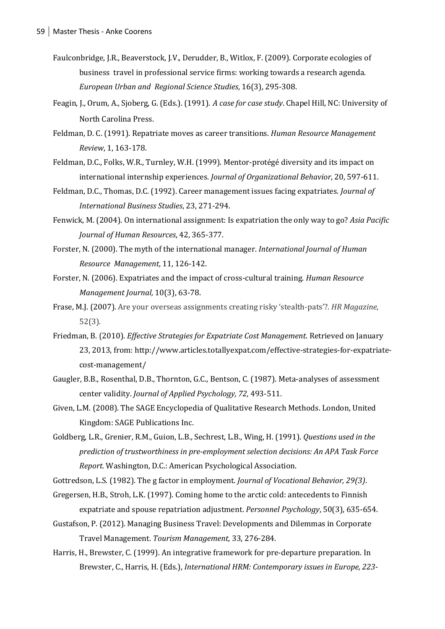- Faulconbridge, J.R., Beaverstock, J.V., Derudder, B., Witlox, F. (2009). Corporate ecologies of business travel in professional service firms: working towards a research agenda. *European Urban and Regional Science Studies*, 16(3), 295-308.
- Feagin, J., Orum, A., Sjoberg, G. (Eds.). (1991). *A case for case study*. Chapel Hill, NC: University of North Carolina Press.
- Feldman, D. C. (1991). Repatriate moves as career transitions. *Human Resource Management Review*, 1, 163-178.
- Feldman, D.C., Folks, W.R., Turnley, W.H. (1999). Mentor-protégé diversity and its impact on international internship experiences. *Journal of Organizational Behavior*, 20, 597-611.
- Feldman, D.C., Thomas, D.C. (1992). Career management issues facing expatriates. *Journal of International Business Studies*, 23, 271-294.
- Fenwick, M. (2004). On international assignment: Is expatriation the only way to go? *Asia Pacific Journal of Human Resources*, 42, 365-377.
- Forster, N. (2000). The myth of the international manager. *International Journal of Human Resource Management*, 11, 126-142.
- Forster, N. (2006). Expatriates and the impact of cross-cultural training. *Human Resource Management Journal,* 10(3), 63-78.
- Frase, M.J. (2007). Are your overseas assignments creating risky 'stealth-pats'?. *HR Magazine*, 52(3).
- Friedman, B. (2010). *Effective Strategies for Expatriate Cost Management*. Retrieved on January 23, 2013, from: http://www.articles.totallyexpat.com/effective-strategies-for-expatriatecost-management/
- Gaugler, B.B., Rosenthal, D.B., Thornton, G.C., Bentson, C. (1987). Meta-analyses of assessment center validity. *Journal of Applied Psychology, 72,* 493-511.
- Given, L.M. (2008)[. The SAGE Encyclopedia of Qualitative Research Methods.](http://knowledge.sagepub.com/view/research/SAGE.xml) London, United Kingdom: SAGE Publications Inc.
- Goldberg, L.R., Grenier, R.M., Guion, L.B., Sechrest, L.B., Wing, H. (1991). *Questions used in the prediction of trustworthiness in pre-employment selection decisions: An APA Task Force Report.* Washington, D.C.: American Psychological Association.
- Gottredson, L.S. (1982). The g factor in employment. *Journal of Vocational Behavior, 29(3)*.
- Gregersen, H.B., Stroh, L.K. (1997). Coming home to the arctic cold: antecedents to Finnish expatriate and spouse repatriation adjustment. *Personnel Psychology*, 50(3), 635-654.
- Gustafson, P. (2012). Managing Business Travel: Developments and Dilemmas in Corporate Travel Management. *Tourism Management*, 33, 276-284.
- Harris, H., Brewster, C. (1999). An integrative framework for pre-departure preparation. In Brewster, C., Harris, H. (Eds.), *International HRM: Contemporary issues in Europe, 223-*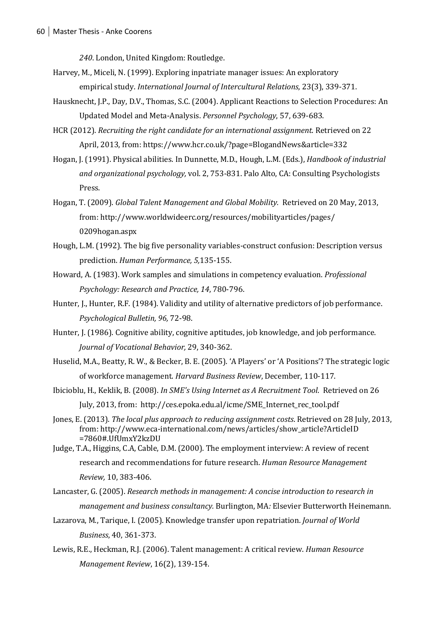*240*. London, United Kingdom: Routledge.

- Harvey, M., Miceli, N. (1999). Exploring inpatriate manager issues: An exploratory empirical study. *International Journal of Intercultural Relations*, 23(3), 339-371.
- Hausknecht, J.P., Day, D.V., Thomas, S.C. (2004). Applicant Reactions to Selection Procedures: An Updated Model and Meta-Analysis. *Personnel Psychology*, 57, 639-683.
- HCR (2012). *Recruiting the right candidate for an international assignment*. Retrieved on 22 April, 2013, from: https://www.hcr.co.uk/?page=BlogandNews&article=332
- Hogan, J. (1991). Physical abilities. In Dunnette, M.D., Hough, L.M. (Eds.), *Handbook of industrial and organizational psychology,* vol. 2, 753-831. Palo Alto, CA: Consulting Psychologists Press.
- Hogan, T. (2009). *Global Talent Management and Global Mobility.* Retrieved on 20 May, 2013, from: http://www.worldwideerc.org/resources/mobilityarticles/pages/ 0209hogan.aspx
- Hough, L.M. (1992). The big five personality variables-construct confusion: Description versus prediction. *Human Performance, 5,*135-155.
- Howard, A. (1983). Work samples and simulations in competency evaluation. *Professional Psychology: Research and Practice, 14*, 780-796.
- Hunter, J., Hunter, R.F. (1984). Validity and utility of alternative predictors of job performance. *Psychological Bulletin, 96,* 72-98.
- Hunter, J. (1986). Cognitive ability, cognitive aptitudes, job knowledge, and job performance. *Journal of Vocational Behavior,* 29, 340-362.
- Huselid, M.A., Beatty, R. W., & Becker, B. E. (2005). 'A Players' or 'A Positions'? The strategic logic of workforce management. *Harvard Business Review*, December, 110-117.
- Ibicioblu, H., Keklik, B. (2008). *In SME's Using Internet as A Recruitment Tool*. Retrieved on 26 July, 2013, from: [http://ces.epoka.edu.al/icme/SME\\_Internet\\_rec\\_tool.pdf](http://ces.epoka.edu.al/icme/SME_Internet_rec_tool.pdf)
- Jones, E. (2013). *The local plus approach to reducing assignment costs*. Retrieved on 28 July, 2013, from: http://www.eca-international.com/news/articles/show\_article?ArticleID =7860#.UfUmxY2kzDU
- Judge, T.A., Higgins, C.A, Cable, D.M. (2000). The employment interview: A review of recent research and recommendations for future research. *Human Resource Management Review,* 10, 383-406.
- Lancaster, G. (2005). *Research methods in management: A concise introduction to research in management and business consultancy.* Burlington, MA*:* Elsevier Butterworth Heinemann.
- Lazarova, M., Tarique, I. (2005). Knowledge transfer upon repatriation. *Journal of World Business*, 40, 361-373.
- Lewis, R.E., Heckman, R.J. (2006). Talent management: A critical review. *Human Resource Management Review*, 16(2), 139-154.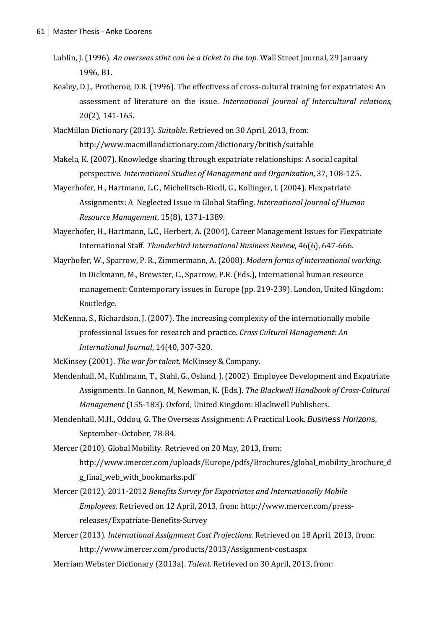- Lublin, J. (1996). *An overseas stint can be a ticket to the top*. Wall Street Journal, 29 January 1996, B1.
- Kealey, D.J., Protheroe, D.R. (1996). The effectivess of cross-cultural training for expatriates: An assessment of literature on the issue. *International Journal of Intercultural relations,*  20(2), 141-165.
- MacMillan Dictionary (2013). *Suitable.* Retrieved on 30 April, 2013, from: http://www.macmillandictionary.com/dictionary/british/suitable
- Makela, K. (2007). Knowledge sharing through expatriate relationships: A social capital perspective. *International Studies of Management and Organization*, 37, 108-125.
- Mayerhofer, H., Hartmann, L.C., Michelitsch-Riedl, G., Kollinger, I. (2004). Flexpatriate Assignments: A Neglected Issue in Global Staffing. *International Journal of Human Resource Management*, 15(8), 1371-1389.
- Mayerhofer, H., Hartmann, L.C., Herbert, A. (2004). Career Management Issues for Flexpatriate International Staff. *Thunderbird International Business Review*, 46(6), 647-666.
- Mayrhofer, W., Sparrow, P. R., Zimmermann, A. (2008). *Modern forms of international working.*  In Dickmann, M., Brewster, C., Sparrow, P.R. (Eds.), International human resource management: Contemporary issues in Europe (pp. 219-239). London, United Kingdom: Routledge.
- McKenna, S., Richardson, J. (2007). The increasing complexity of the internationally mobile professional Issues for research and practice. *Cross Cultural Management: An International Journal*, 14(40, 307-320.

McKinsey (2001). *The war for talent*. McKinsey & Company.

- Mendenhall, M., Kuhlmann, T., Stahl, G., Osland, J. (2002). Employee Development and Expatriate Assignments. In Gannon, M, Newman, K. (Eds.). *The Blackwell Handbook of Cross-Cultural Management* (155-183). Oxford, United Kingdom: Blackwell Publishers.
- Mendenhall, M.H., Oddou, G. The Overseas Assignment: A Practical Look. *Business Horizons,*  September–October, 78-84.
- Mercer (2010). Global Mobility. Retrieved on 20 May, 2013, from: http://www.imercer.com/uploads/Europe/pdfs/Brochures/global\_mobility\_brochure\_d g\_final\_web\_with\_bookmarks.pdf
- Mercer (2012). 2011-2012 *Benefits Survey for Expatriates and Internationally Mobile Employees*. Retrieved on 12 April, 2013, from: http://www.mercer.com/pressreleases/Expatriate-Benefits-Survey
- Mercer (2013). *International Assignment Cost Projections.* Retrieved on 18 April, 2013, from: http://www.imercer.com/products/2013/Assignment-cost.aspx
- Merriam Webster Dictionary (2013a). *Talent*. Retrieved on 30 April, 2013, from: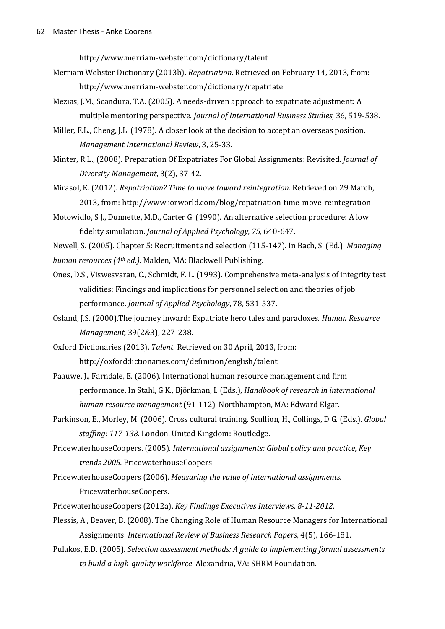http://www.merriam-webster.com/dictionary/talent

- Merriam Webster Dictionary (2013b). *Repatriation*. Retrieved on February 14, 2013, from: http://www.merriam-webster.com/dictionary/repatriate
- Mezias, J.M., Scandura, T.A. (2005). A needs-driven approach to expatriate adjustment: A multiple mentoring perspective. *Journal of International Business Studies*, 36, 519-538.
- Miller, E.L., Cheng, J.L. (1978). A closer look at the decision to accept an overseas position. *Management International Review*, 3, 25-33.
- Minter, R.L., (2008). Preparation Of Expatriates For Global Assignments: Revisited. *Journal of Diversity Management*, 3(2), 37-42.
- Mirasol, K. (2012). *Repatriation? Time to move toward reintegration*. Retrieved on 29 March, 2013, from: http://www.iorworld.com/blog/repatriation-time-move-reintegration
- Motowidlo, S.J., Dunnette, M.D., Carter G. (1990). An alternative selection procedure: A low fidelity simulation. *Journal of Applied Psychology, 75,* 640-647.
- Newell, S. (2005). Chapter 5: Recruitment and selection (115-147). In Bach, S. (Ed.). *Managing human resources (4th ed.).* Malden, MA: Blackwell Publishing.
- Ones, D.S., Viswesvaran, C., Schmidt, F. L. (1993). Comprehensive meta-analysis of integrity test validities: Findings and implications for personnel selection and theories of job performance. *Journal of Applied Psychology*, 78, 531-537.
- Osland, J.S. (2000).The journey inward: Expatriate hero tales and paradoxes. *Human Resource Management,* 39(2&3), 227-238.
- Oxford Dictionaries (2013). *Talent.* Retrieved on 30 April, 2013, from: http://oxforddictionaries.com/definition/english/talent
- Paauwe, J., Farndale, E. (2006). International human resource management and firm performance. In Stahl, G.K., Björkman, I. (Eds.), *Handbook of research in international human resource management* (91-112). Northhampton, MA: Edward Elgar.
- Parkinson, E., Morley, M. (2006). Cross cultural training. Scullion, H., Collings, D.G. (Eds.). *Global staffing: 117-138.* London, United Kingdom: Routledge.
- PricewaterhouseCoopers. (2005). *International assignments: Global policy and practice, Key trends 2005.* PricewaterhouseCoopers.
- PricewaterhouseCoopers (2006). *Measuring the value of international assignments.*  PricewaterhouseCoopers.
- PricewaterhouseCoopers (2012a). *Key Findings Executives Interviews, 8-11-2012.*
- Plessis, A., Beaver, B. (2008). The Changing Role of Human Resource Managers for International Assignments. *International Review of Business Research Papers*, 4(5), 166-181.
- Pulakos, E.D. (2005). *Selection assessment methods: A guide to implementing formal assessments to build a high-quality workforce*. Alexandria, VA: SHRM Foundation.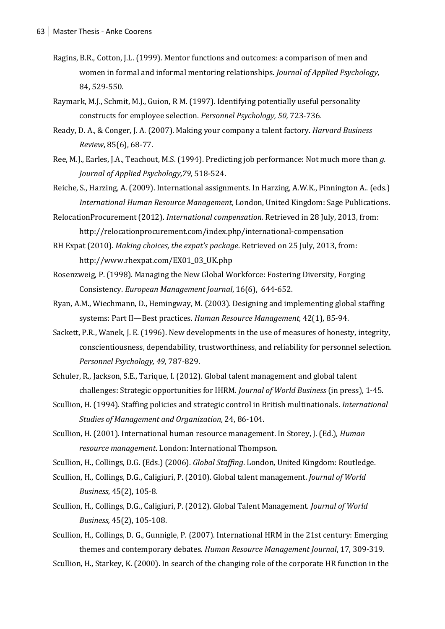- Ragins, B.R., Cotton, J.L. (1999). Mentor functions and outcomes: a comparison of men and women in formal and informal mentoring relationships. *Journal of Applied Psychology*, 84, 529-550.
- Raymark, M.J., Schmit, M.J., Guion, R M. (1997). Identifying potentially useful personality constructs for employee selection. *Personnel Psychology, 50,* 723-736.
- Ready, D. A., & Conger, J. A. (2007). Making your company a talent factory. *Harvard Business Review*, 85(6), 68-77.
- Ree, M.J., Earles, J.A., Teachout, M.S. (1994). Predicting job performance: Not much more than *g. Journal of Applied Psychology,79,* 518-524.
- Reiche, S., Harzing, A. (2009). International assignments. In Harzing, A.W.K., Pinnington A.. (eds.) *International Human Resource Management*, London, United Kingdom: Sage Publications.
- RelocationProcurement (2012). *International compensation.* Retrieved in 28 July, 2013, from: http://relocationprocurement.com/index.php/international-compensation
- RH Expat (2010). *Making choices, the expat's package*. Retrieved on 25 July, 2013, from: [http://www.rhexpat.com/EX01\\_03\\_UK.php](http://www.rhexpat.com/EX01_03_UK.php)
- Rosenzweig, P. (1998). Managing the New Global Workforce: Fostering Diversity, Forging Consistency. *European Management Journal*, 16(6), 644-652.
- Ryan, A.M., Wiechmann, D., Hemingway, M. (2003). Designing and implementing global staffing systems: Part II—Best practices. *Human Resource Management*, 42(1), 85-94.
- Sackett, P.R., Wanek, J. E. (1996). New developments in the use of measures of honesty, integrity, conscientiousness, dependability, trustworthiness, and reliability for personnel selection. *Personnel Psychology, 49,* 787-829.
- Schuler, R., Jackson, S.E., Tarique, I. (2012). Global talent management and global talent challenges: Strategic opportunities for IHRM. *Journal of World Business* (in press), 1-45.
- Scullion, H. (1994). Staffing policies and strategic control in British multinationals. *International Studies of Management and Organization*, 24, 86-104.
- Scullion, H. (2001). International human resource management. In Storey, J. (Ed.), *Human resource management*. London: International Thompson.
- Scullion, H., Collings, D.G. (Eds.) (2006). *Global Staffing*. London, United Kingdom: Routledge.
- Scullion, H., Collings, D.G., Caligiuri, P. (2010). Global talent management. *Journal of World Business*, 45(2), 105-8.
- Scullion, H., Collings, D.G., Caligiuri, P. (2012). Global Talent Management. *Journal of World Business,* 45(2), 105-108.
- Scullion, H., Collings, D. G., Gunnigle, P. (2007). International HRM in the 21st century: Emerging themes and contemporary debates. *Human Resource Management Journal*, 17, 309-319.

Scullion, H., Starkey, K. (2000). In search of the changing role of the corporate HR function in the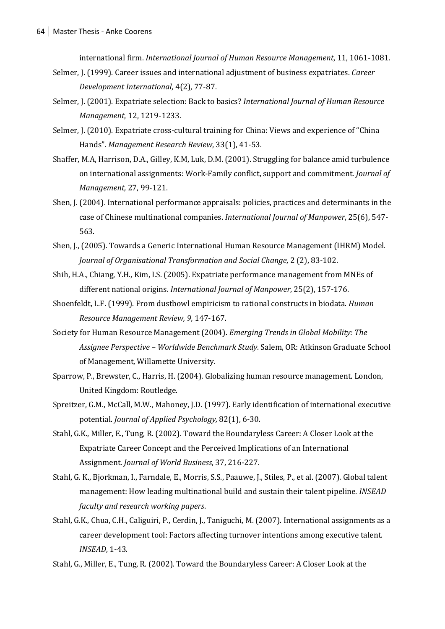international firm. *International Journal of Human Resource Management*, 11, 1061-1081.

- Selmer, J. (1999). Career issues and international adjustment of business expatriates. *Career Development International*, 4(2), 77-87.
- Selmer, J. (2001). Expatriate selection: Back to basics? *International Journal of Human Resource Management*, 12, 1219-1233.
- Selmer, J. (2010). Expatriate cross-cultural training for China: Views and experience of "China Hands". *Management Research Review*, 33(1), 41-53.
- Shaffer, M.A, Harrison, D.A., Gilley, K.M, Luk, D.M. (2001). Struggling for balance amid turbulence on international assignments: Work-Family conflict, support and commitment. *Journal of Management,* 27, 99-121.
- Shen, J. (2004). International performance appraisals: policies, practices and determinants in the case of Chinese multinational companies. *International Journal of Manpower*, 25(6), 547- 563.
- Shen, J., (2005). Towards a Generic International Human Resource Management (IHRM) Model. *Journal of Organisational Transformation and Social Change*, 2 (2), 83-102.
- Shih, H.A., Chiang, Y.H., Kim, I.S. (2005). Expatriate performance management from MNEs of different national origins. *International Journal of Manpower*, 25(2), 157-176.
- Shoenfeldt, L.F. (1999). From dustbowl empiricism to rational constructs in biodata. *Human Resource Management Review, 9,* 147-167.
- Society for Human Resource Management (2004). *Emerging Trends in Global Mobility: The Assignee Perspective – Worldwide Benchmark Study*. Salem, OR: Atkinson Graduate School of Management, Willamette University.
- Sparrow, P., Brewster, C., Harris, H. (2004). Globalizing human resource management. London, United Kingdom: Routledge.
- Spreitzer, G.M., McCall, M.W., Mahoney, J.D. (1997). Early identification of international executive potential. *Journal of Applied Psychology,* 82(1), 6-30.
- Stahl, G.K., Miller, E., Tung, R. (2002). Toward the Boundaryless Career: A Closer Look at the Expatriate Career Concept and the Perceived Implications of an International Assignment. *Journal of World Business*, 37, 216-227.
- Stahl, G. K., Bjorkman, I., Farndale, E., Morris, S.S., Paauwe, J., Stiles, P., et al. (2007). Global talent management: How leading multinational build and sustain their talent pipeline. *INSEAD faculty and research working papers*.
- Stahl, G.K., Chua, C.H., Caliguiri, P., Cerdin, J., Taniguchi, M. (2007). International assignments as a career development tool: Factors affecting turnover intentions among executive talent. *INSEAD*, 1-43.
- Stahl, G., Miller, E., Tung, R. (2002). Toward the Boundaryless Career: A Closer Look at the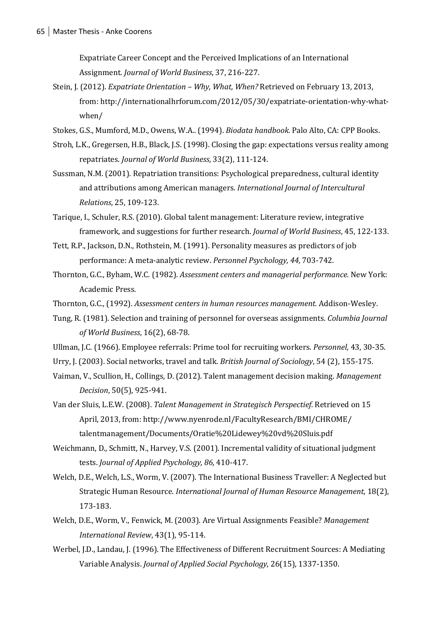Expatriate Career Concept and the Perceived Implications of an International Assignment. *Journal of World Business*, 37, 216-227.

- Stein, J. (2012). *Expatriate Orientation – Why, What, When?* Retrieved on February 13, 2013, from: http://internationalhrforum.com/2012/05/30/expatriate-orientation-why-whatwhen/
- Stokes, G.S., Mumford, M.D., Owens, W.A.. (1994). *Biodata handbook.* Palo Alto, CA: CPP Books.
- Stroh, L.K., Gregersen, H.B., Black, J.S. (1998). Closing the gap: expectations versus reality among repatriates. *Journal of World Business*, 33(2), 111-124.
- Sussman, N.M. (2001). Repatriation transitions: Psychological preparedness, cultural identity and attributions among American managers. *International Journal of Intercultural Relations*, 25, 109-123.
- Tarique, I., Schuler, R.S. (2010). Global talent management: Literature review, integrative framework, and suggestions for further research. *Journal of World Business*, 45, 122-133.
- Tett, R.P., Jackson, D.N., Rothstein, M. (1991). Personality measures as predictors of job performance: A meta-analytic review. *Personnel Psychology, 44,* 703-742.
- Thornton, G.C., Byham, W.C. (1982). *Assessment centers and managerial performance.* New York: Academic Press.
- Thornton, G.C., (1992). *Assessment centers in human resources management.* Addison-Wesley.
- Tung, R. (1981). Selection and training of personnel for overseas assignments. *Columbia Journal of World Business*, 16(2), 68-78.
- Ullman, J.C. (1966). Employee referrals: Prime tool for recruiting workers. *Personnel,* 43, 30-35.
- Urry, J. (2003). Social networks, travel and talk. *British Journal of Sociology*, 54 (2), 155-175.
- Vaiman, V., Scullion, H., Collings, D. (2012). Talent management decision making. *Management Decision*, 50(5), 925-941.
- Van der Sluis, L.E.W. (2008). *Talent Management in Strategisch Perspectief*. Retrieved on 15 April, 2013, from: http://www.nyenrode.nl/FacultyResearch/BMI/CHROME/ talentmanagement/Documents/Oratie%20Lidewey%20vd%20Sluis.pdf
- Weichmann, D., Schmitt, N., Harvey, V.S. (2001). Incremental validity of situational judgment tests. *Journal of Applied Psychology, 86,* 410-417.
- Welch, D.E., Welch, L.S., Worm, V. (2007). The International Business Traveller: A Neglected but Strategic Human Resource. *International Journal of Human Resource Management*, 18(2), 173-183.
- Welch, D.E., Worm, V., Fenwick, M. (2003). Are Virtual Assignments Feasible? *Management International Review*, 43(1), 95-114.
- Werbel, J.D., Landau, J. (1996). The Effectiveness of Different Recruitment Sources: A Mediating Variable Analysis. *Journal of Applied Social Psychology*, 26(15), 1337-1350.